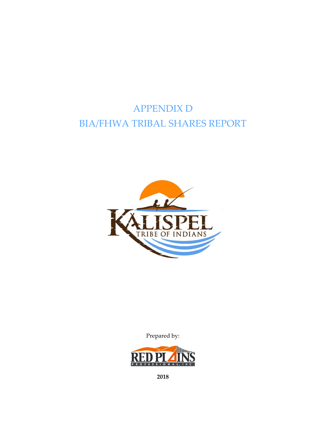# APPENDIX D BIA/FHWA TRIBAL SHARES REPORT



Prepared by:



**2018**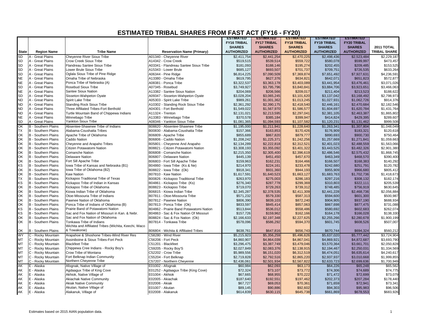|              |                            |                                                      |                                         | <b>ESTIMATED</b>   | <b>ESTIMATED</b>   | <b>ESTIMATED</b>   | <b>ESTIMATED</b>   | <b>ESTIMATED</b>           |                     |
|--------------|----------------------------|------------------------------------------------------|-----------------------------------------|--------------------|--------------------|--------------------|--------------------|----------------------------|---------------------|
|              |                            |                                                      |                                         | <b>FY16 TRIBAL</b> | <b>FY17 TRIBAL</b> | <b>FY18 TRIBAL</b> | <b>FY19 TRIBAL</b> | <b>FY20 TRIBAL</b>         |                     |
|              |                            |                                                      |                                         | <b>SHARES</b>      | <b>SHARES</b>      | <b>SHARES</b>      | <b>SHARES</b>      | <b>SHARES</b>              | 2011 TOTAL          |
| <b>State</b> | <b>Region Name</b>         | <b>Tribe Name</b>                                    | <b>Reservation Name (Primary)</b>       | <b>AUTHORIZED</b>  | <b>AUTHORIZED</b>  | <b>AUTHORIZED</b>  | <b>AUTHORIZED</b>  | <b>AUTHORIZED</b>          | <b>TRIBAL SHARE</b> |
| SD           | A - Great Plains           | Cheyenne River Sioux Tribe                           | A01340 - Cheyenne River                 | \$2,411,754        | \$2,441,254        | \$2,470,225        | \$2,498,436        | \$2,523,484                | \$2,229,187         |
| <b>SD</b>    | A - Great Plains           | Crow Creek Sioux Tribe                               | A14342 - Crow Creek                     | \$519,515          | \$539,514          | \$559,722          | \$580,078          | \$599,997                  | \$473,457           |
| <b>SD</b>    | A - Great Plains           | Flandreau Santee Sioux Tribe                         | A03341 - Flandreau Santee Sioux Tribe   | \$181,093          | \$188,146          | \$195,274          | \$202,455          | \$209,485                  | \$153,525           |
| <b>SD</b>    | A - Great Plains           | Lower Brule Sioux Tribe                              | A15343 - Lower Brule                    | \$685,127          | \$693,507          | \$701,737          | \$709,751          | \$726,535                  | \$633,264           |
| <b>SD</b>    | A - Great Plains           | Oglala Sioux Tribe of Pine Ridge                     | A06344 - Pine Ridge                     | \$6,814,225        | \$7,090,509        | \$7,369,874        | \$7,651,492        | \$7,927,631                | \$4,236,591         |
| <b>NE</b>    | A - Great Plains           | Omaha Tribe of Nebraska                              | A13380 - Omaha Tribe                    | \$619,795          | \$627,376          | \$634,821          | \$642,071          | \$651,823                  | \$572,877           |
| <b>NE</b>    | A - Great Plains           | Ponca Tribe of Nebraska (A)                          | A08381 - Ponca Tribe                    | \$3,322,537        | \$3,363,178        | \$3,403,089        | \$3,441,954        | \$3,476,461                | \$3,071,026         |
| <b>SD</b>    | A - Great Plains           | Rosebud Sioux Tribe                                  | A07345 - Rosebud                        | \$3,749,927        | \$3,795,796        | \$3,840,841        | \$3,884,706        | \$3,923,651                | \$3,466,063         |
| <b>NE</b>    | A - Great Plains           | Santee Sioux Nation                                  | A13382 - Santee Sioux Nation            | \$204,069          | \$206,566          | \$209,017          | \$211,404          | \$213,523                  | \$188,622           |
| <b>SD</b>    | A - Great Plains           | Sisseton-Wahpeton Oyate                              | A09347 - Sisseton-Wahpeton Oyate        | \$3,028,204        | \$3,065,245        | \$3,101,620        | \$3,137,042        | \$3,168,492                | \$2,798,973         |
| <b>ND</b>    | A - Great Plains           | Spirit Lake Tribe                                    | A05303 - Spirit Lake Tribe              | \$989,261          | \$1,001,362        | \$1,013,245        | \$1,027,931        | \$1,062,726                | \$914,376           |
| <b>ND</b>    | A - Great Plains           | <b>Standing Rock Sioux Tribe</b>                     | A10302 - Standing Rock Sioux Tribe      | \$2,361,292        | \$2,390,175        | \$2,418,540        | \$2,446,161        | \$2,470,684                | \$2,182,546         |
| <b>ND</b>    | A - Great Plains           | Three Affiliated Tribes-Fort Berthold                | A04301 - Fort Berthold                  | \$1,549,022        |                    |                    | \$1,604,697        |                            | \$1,431,764         |
| <b>ND</b>    | A - Great Plains           | Turtle Mountain Band of Chippewa Indians             | A11324 - Trenton                        | \$2,131,021        | \$1,567,970        | \$1,586,577        | \$2,381,105        | \$1,620,784<br>\$2,463,387 | \$1,865,802         |
| <b>NE</b>    | A - Great Plains           |                                                      |                                         |                    | \$2,213,595        | \$2,297,041        |                    |                            |                     |
|              |                            | Winnebago Tribe<br><b>Yankton Sioux Tribe</b>        | A13383 - Winnebago Tribe                | \$370,578          | \$385,184          | \$399,947          | \$414,824          | \$429,395                  | \$289,607           |
| SD           | A - Great Plains           |                                                      | A08346 - Yankton Sioux Tribe            | \$1,081,365        | \$1,094,593        | \$1,107,582        | \$1,120,231        | \$1,131,462                | \$999,508           |
| OK           | <b>B</b> - Southern Plains | Absentee-Shawnee Tribe of Indians                    | B08820 - Absentee-Shawnee Tribe         | \$1,195,000        | \$1,211,941        | \$1,228,640        | \$1,263,341        | \$1,307,804                | \$1,048,049         |
| <b>TX</b>    | <b>B</b> - Southern Plains | Alabama-Coushatta Tribes                             | B00830 - Alabama-Coushatta Tribe        | \$157,366          | \$163,853          | \$170,426          | \$176,909          | \$183,321                  | \$120,618           |
| OK           | <b>B</b> - Southern Plains | Apache Tribe of Oklahoma                             | B06809 - Apache Tribe                   | \$855,689          | \$867,820          | \$879,777          | \$890,693          | \$900,730                  | \$750,464           |
| OK           | <b>B</b> - Southern Plains | Caddo Nation                                         | B06806 - Caddo Nation                   | \$1,208,242        | \$1,225,371        | \$1,242,256        | \$1,257,669        | \$1,271,841                | \$1,059,663         |
| OK           | B - Southern Plains        | Cheyenne and Arapaho Tribes                          | B05801 - Cheyenne And Arapaho           | \$2,134,289        | \$2,222,818        | \$2,312,521        | \$2,401,023        | \$2,488,559                | \$1,563,066         |
| OK           | <b>B</b> - Southern Plains | Citizen Potawatomi Nation                            | B08821 - Citizen Potawatomi Nation      | \$3,308,193        | \$3,355,092        | \$3,401,322        | \$3,443,525        | \$3,482,326                | \$2,901,380         |
| OK           | <b>B</b> - Southern Plains | <b>Comanche Nation</b>                               | B06808 - Comanche Nation                | \$2,215,350        | \$2,305,400        | \$2,396,619        | \$2,486,546        | \$2,575,432                | \$1,868,745         |
| OK           | B - Southern Plains        | <b>Delaware Nation</b>                               | B06807 - Delaware Nation                | \$445,139          | \$451,450          | \$457,670          | \$463,349          | \$468,570                  | \$390,400           |
| OK           | <b>B</b> - Southern Plains | Fort Sill Apache Tribe                               | B06803 - Fort Sill Apache Tribe         | \$159,963          | \$162,231          | \$164,466          | \$166,507          | \$168,383                  | \$140,292           |
| KS           | B - Southern Plains        | Iowa Tribe of Kansas and Nebraska (B1)               | B04860 - Iowa Tribe (Ks & Ne)           | \$214,970          | \$224,161          | \$233,478          | \$242,680          | \$251,791                  | \$120,782           |
| OK           | <b>B</b> - Southern Plains | Iowa Tribe of Oklahoma (B2)                          | B08822 - Iowa Tribe (Ok)                | \$918,341          | \$931,360          | \$944,193          | \$955,909          | \$966,680                  | \$805,412           |
| OK           | B - Southern Plains        | <b>Kaw Nation</b>                                    | B07810 - Kaw Nation                     | \$1,617,591        | \$1,640,523        | \$1,663,127        | \$1,683,763        | \$1,702,736                | \$1,418,673         |
| <b>TX</b>    | <b>B</b> - Southern Plains | Kickapoo Traditional Tribe of Texas                  | B00826 - Kickapoo Traditional Tribe     | \$263,970          | \$275,003          | \$286,183          | \$297,216          | \$308,132                  | \$182,174           |
| KS           | B - Southern Plains        | Kickapoo Tribe of Indian in Kansas                   | B04861 - Kickapoo Tribe (Ks)            | \$276,340          | \$287,778          | \$299,369          | \$310,803          | \$322,111                  | \$205,539           |
| OK           | <b>B</b> - Southern Plains | Kickapoo Tribe of Oklahoma                           | B08823 - Kickapoo Tribe                 | \$719,070          | \$729,263          | \$739,312          | \$748,485          | \$756,919                  | \$630,645           |
| OK           | B - Southern Plains        | Kiowa Indian Tribe of Oklahoma                       | B06815 - Kiowa Indian Tribe             | \$2,345,287        | \$2,378,535        | \$2,411,309        | \$2,441,228        | \$2,468,736                | \$2,056,884         |
| OK           | B - Southern Plains        | Otoe-Missouria Tribe of Indians                      | B07811 - Otoe-Missouria Tribe           | \$571,232          | \$579,330          | \$587,313          | \$594,600          | \$601,300                  | \$500,987           |
| OK           | <b>B</b> - Southern Plains | Pawnee Nation of Oklahoma                            | B07812 - Pawnee Nation                  | \$806,390          | \$839,103          | \$872,240          | \$904,905          | \$937,190                  | \$688,934           |
| OK           | <b>B</b> - Southern Plains | Ponca Tribe of Indians of Oklahoma (B)               | B07813 - Ponca Tribe (Ok)               | \$833,597          | \$845,414          | \$857,063          | \$867,698          | \$877,475                  | \$731,088           |
| ΚS           | B - Southern Plains        | Prairie Band of Potawatomi Nation                    | B04862 - Prairie Band Potawatomi Nation | \$513,844          | \$536,012          | \$558,486          | \$580,692          | \$602,683                  | \$262,074           |
| KS           | <b>B</b> - Southern Plains | Sac and Fox Nation of Missouri in Kan. & Nebr.       | B04863 - Sac & Fox Nation Of Missouri   | \$157,726          | \$159,962          | \$162,166          | \$164,178          | \$166,028                  | \$138,330           |
| OK           | B - Southern Plains        | Sac and Fox Nation of Oklahoma                       | B08824 - Sac & Fox Nation (Ok)          | \$2,166,633        | \$2,197,348        | \$2,227,625        | \$2,255,266        | \$2,280,678                | \$1,900,199         |
| OK           | <b>B</b> - Southern Plains | Tonkawa Tribe of Indians                             | B07814 - Tonkawa Tribe                  | \$578,096          | \$586,292          | \$594,370          | \$601,745          | \$608,526                  | \$507,007           |
|              |                            | Wichita and Affiliated Tribes (Wichita, Keechi, Waco |                                         |                    |                    |                    |                    |                            |                     |
| OK           | B - Southern Plains        | & Towakonie)                                         | B06804 - Wichita & Affiliated Tribes    | \$638,761          | \$647,816          | \$656,743          | \$670,744          | \$694,324                  | \$560,212           |
| WY           | C - Rocky Mountain         | Arapahoe & Shoshone Tribes-Wind River Res            | C58280 - Wind River                     | \$5,215,923        | \$5,356,259        | \$5,496,626        | \$5,637,020        | \$5,777,442                | \$3,724,904         |
| MT           | C - Rocky Mountain         | Assiniboine & Sioux Tribes-Fort Peck                 | C56206 - Fort Peck                      | \$4,860,907        | \$4,864,039        | \$4,867,041        | \$4,869,921        | \$4,872,687                | \$3,693,790         |
| MT           | C - Rocky Mountain         | <b>Blackfeet Tribe</b>                               | C51201 - Blackfeet                      | \$3,296,475        | \$3,387,749        | \$3,479,046        | \$3,570,364        | \$3,661,701                | \$2,050,828         |
| MT           | C - Rocky Mountain         | Chippewa Cree Indians - Rocky Boy's                  | C59205 - Rocky Boy'S                    | \$2,027,849        | \$2,083,376        | \$2,138,915        | \$2,194,467        | \$2,250,031                | \$1,334,569         |
| MT           | C - Rocky Mountain         | Crow Tribe of Montana                                | C52202 - Crow Tribe                     | \$5,989,556        | \$6,151,020        | \$6,312,519        | \$6,474,051        | \$6,635,614                | \$4,240,617         |
| MT           | C - Rocky Mountain         | Fort Belknap Indian Community                        | C55204 - Fort Belknap                   | \$2,719,828        | \$2,792,516        | \$2,865,220        | \$2,937,937        | \$3,010,668                | \$1,999,855         |
| MT           | C - Rocky Mountain         | Northern Cheyenne Tribe                              | C57207 - Northern Cheyenne              | \$2,436,061        | \$2,501,934        | \$2,567,822        | \$2,633,723        | \$2,699,636                | \$1,700,949         |
| АK           | E - Alaska                 | Afognak, Native Village of                           | E01002 - Afognak                        | \$60,984           | \$62,093           | \$63,173           | \$64,226           | \$65,248                   | \$65,562            |
| AK           | E - Alaska                 | Agdaagux Tribe of King Cove                          | E01252 - Agdaagux Tribe (King Cove)     | \$72,324           | \$73,107           | \$73,772           | \$74,306           | \$74,689                   | \$74,775            |
| AK           | E - Alaska                 | Akhiok, Native Village of                            | E01004 - Akhiok                         | \$67,665           | \$68,955           | \$70,222           | \$71,472           | \$72,699                   | \$73,079            |
| AK           | E - Alaska                 |                                                      |                                         |                    |                    |                    |                    |                            |                     |
|              |                            | <b>Akiachak Native Community</b>                     | E02005 - Akiachak                       | \$187,640          | \$192,551          | \$197,462          | \$202,373          | \$207,284                  | \$178,440           |
| AK           | E - Alaska                 | <b>Akiak Native Community</b>                        | E02006 - Akiak                          | \$67,727           | \$69,053           | \$70,361           | \$71,659           | \$72,941                   | \$73,341            |
| AK           | E - Alaska                 | Akutan, Native Village of                            | E01007 - Akutan                         | \$89.145           | \$90,886           | \$92,602           | \$94.303           | \$95.983                   | \$96,506            |
| AK           | E - Alaska                 | Alakanuk, Village of                                 | E02008 - Alakanuk                       | \$614,839          | \$630,115          | \$645,738          | \$661,869          | \$678,553                  | \$683,926           |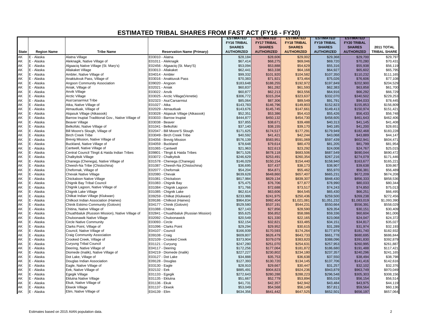|              |                    |                                                    |                                        | <b>ESTIMATED</b>   | <b>ESTIMATED</b>   | <b>ESTIMATED</b>   | <b>ESTIMATED</b>   | <b>ESTIMATED</b>   |                     |
|--------------|--------------------|----------------------------------------------------|----------------------------------------|--------------------|--------------------|--------------------|--------------------|--------------------|---------------------|
|              |                    |                                                    |                                        | <b>FY16 TRIBAL</b> | <b>FY17 TRIBAL</b> | <b>FY18 TRIBAL</b> | <b>FY19 TRIBAL</b> | <b>FY20 TRIBAL</b> |                     |
|              |                    |                                                    |                                        | <b>SHARES</b>      | <b>SHARES</b>      | <b>SHARES</b>      | <b>SHARES</b>      | <b>SHARES</b>      | <b>2011 TOTAL</b>   |
| <b>State</b> | <b>Region Name</b> | <b>Tribe Name</b>                                  | <b>Reservation Name (Primary)</b>      | <b>AUTHORIZED</b>  | <b>AUTHORIZED</b>  | <b>AUTHORIZED</b>  | <b>AUTHORIZED</b>  | <b>AUTHORIZED</b>  | <b>TRIBAL SHARE</b> |
| <b>AK</b>    | E - Alaska         | Alatna Village                                     | E03010 - Alatna                        | \$28,184           | \$28,606           | \$29,002           | \$29,368           | \$29,700           | \$29,797            |
| AK           | E - Alaska         | Aleknagik, Native Village of                       | E01011 - Aleknagik                     | \$67,414           | \$68,275           | \$69,046           | \$69,720           | \$70,280           | \$70,431            |
| AK           | E - Alaska         | Algaaciq Native Village (St. Mary's)               | E02456 - Algaaciq (St. Mary'S)         | \$53,094           | \$53,888           | \$54,629           | \$55,316           | \$55,938           | \$56,119            |
| AK           | E - Alaska         | Allakaket Village                                  | E03013 - Allakaket                     | \$62,441           | \$63,338           | \$64,168           | \$64,927           | \$65,602           | \$65,795            |
| AK           | E - Alaska         | Ambler, Native Village of                          | E04014 - Ambler                        | \$99,332           | \$101,920          | \$104,582          | \$107,350          | \$110,232          | \$111,165           |
| AK           | E - Alaska         | Anaktukvuk Pass, Village of                        | E03016 - Anaktuvuk Pass                | \$70,383           | \$71,921           | \$73,464           | \$75,026           | \$76,606           | \$77,108            |
| AK           | E - Alaska         | Angoon Community Association                       | E09020 - Angoon                        | \$183.648          | \$188,255          | \$192,972          | \$197,849          | \$202,900          | \$204,529           |
| AK           | E - Alaska         | Aniak, Village of                                  | E02021 - Aniak                         | \$60,837           | \$61,282           | \$61,593           | \$62,383           | \$63,858           | \$61,700            |
| AK           | E - Alaska         | Anvik Village                                      | E03022 - Anvik                         | \$60,877           | \$62,213           | \$63,556           | \$64,916           | \$66,292           | \$66,729            |
| AK           | E - Alaska         | <b>Arctic Village</b>                              | E03025 - Arctic Village(Venetie)       | \$306,772          | \$315,204          | \$323,637          | \$332,070          | \$340,502          | \$229,253           |
| AK           | E - Alaska         | Asa'carsarmiut Tribe                               | E02323 - Asa'Carsarmiut                | \$85,064           | \$87,306           | \$89,549           | \$91,791           | \$94,033           | \$78,445            |
| AK           | E - Alaska         | Atka, Native Village of                            | E01027 - Atka                          | \$143,783          | \$146,796          | \$149,803          | \$152,823          | \$155,853          | \$156,809           |
| AK           | E - Alaska         | Atmautluak, Village of                             | E02029 - Atmautluak                    | \$143,676          | \$145,745          | \$147,661          | \$149,413          | \$150,974          | \$151,421           |
| AK           | E - Alaska         | Atgasuk Village (Atkasook)                         | E03028 - Atgasuk Village (Atkasook)    | \$52,351           | \$53,386           | \$54,410           | \$55,426           | \$56,433           | \$56,748            |
| AK           | E - Alaska         | Barrow Inupiat Traditional Gov., Native Village of | E03033 - Barrow Inupiat                | \$444,877          | \$450,132          | \$454,730          | \$458,605          | \$461,643          | \$462,406           |
| AK           | E - Alaska         | <b>Beaver Village</b>                              | E03038 - Beaver                        | \$37,855           | \$38,671           | \$39,488           | \$40,313           | \$41,145           | \$41,408            |
| AK           | E - Alaska         | Belkofski, Native Village of                       | E01041 - Belkofski                     | \$37,140           | \$38,155           | \$39,170           | \$40,185           | \$41,200           | \$28,651            |
| AK           | E - Alaska         | Bill Moore's Slough, Village of                    | E02047 - Bill Moore'S Slough           | \$171,625          | \$174,517          | \$177,291          | \$179,949          | \$182,468          | \$183,228           |
| AK           | E - Alaska         | <b>Birch Creek Tribe</b>                           | E03049 - Birch Creek Tribe             | \$40,592           | \$41,421           | \$42,244           | \$43,068           | \$43,889           | \$44,147            |
| AK           | E - Alaska         | Brevig Mission, Native Village of                  | E04056 - Brevig Mission                | \$576,139          | \$583,951          | \$591,069          | \$597,439          | \$602,941          | \$604,471           |
| AK           | E - Alaska         | Buckland, Native Village of                        | E04059 - Buckland                      | \$78,648           | \$79,614           | \$80,470           | \$81,205           | \$81,799           | \$81,954            |
| AK           | E - Alaska         | Cantwell, Native Village of                        | E01065 - Cantwell                      | \$21,963           | \$22,613           | \$23,292           | \$24,008           | \$24,767           | \$25,015            |
| AK           | E - Alaska         | Central Council Tlingit & Haida Indian Tribes      | E09801 - Tlingit & Haida Tribes        | \$671,526          | \$678,118          | \$683,506          | \$687,549          | \$690,044          | \$690,472           |
| AK           | E - Alaska         | Chalkyitsik Village                                | E03072 - Chalkyitsik                   | \$246,629          | \$253,491          | \$260,354          | \$267,216          | \$274,079          | \$171,446           |
| AK           | E - Alaska         | Chanega (Chenega), Native Village of               | E01578 - Chenega (Chanega)             | \$146,029          | \$150,154          | \$154,440          | \$158,940          | \$163,677          | \$165,221           |
| AK           | E - Alaska         | Cheesh-Na Tribe (Chistochina)                      | E01087 - Cheesh-Na (Chistochina)       | \$36,695           | \$37,437           | \$38,173           | \$38,907           | \$39,638           | \$39,867            |
| AK<br>AK     | E - Alaska         | Chefornak, Village of                              | E02077 - Chefornak                     | \$54,204           | \$54,871           | \$55,462           | \$55,970           | \$56,381           | \$56,489            |
|              | E - Alaska         | <b>Chevak Native Village</b>                       | E02080 - Chevak                        | \$639,628          | \$648,860          | \$657,407          | \$665,231          | \$672,209          | \$674,208           |
| AK           | E - Alaska         | Chickaloon Native Village                          | E01081 - Chickaloon                    | \$817,984          | \$829,134          | \$839,307          | \$848,430          | \$856,333          | \$858,536           |
| AK           | E - Alaska         | Chignik Bay Tribal Council                         | E01083 - Chignik Bay                   | \$75,475           | \$76,706           | \$77,877           | \$78,990           | \$80,033           | \$80,344            |
| AK           | E - Alaska         | Chignik Lagoon, Native Village of                  | E01084 - Chignik Lagoon                | \$71,766           | \$72,688           | \$73,517           | \$74,243           | \$74,850           | \$75,013            |
| AK           | E - Alaska         | Chignik Lake Village                               | E01085 - Chignik Lake                  | \$62,614           | \$63,606           | \$64,545           | \$65,430           | \$66,251           | \$66,495            |
| AK           | E - Alaska         | Chilkat Indian Village (Klukwan)                   | E09259 - Chilkat (Klukwan)             | \$233,986          | \$241,975          | \$250,436          | \$259,500          | \$269,238          | \$272,456           |
| AK           | E - Alaska         | Chilkoot Indian Association (Haines)               | E09186 - Chilkoot (Haines)             | \$964,834          | \$992,404          | \$1,021,081        | \$1,051,232        | \$1,083,019        | \$1,093,390         |
| AK           | E - Alaska         | Chinik Eskimo Community (Golovin)                  | E04177 - Chinik (Golovin)              | \$529,580          | \$537,191          | \$544,231          | \$550,664          | \$556,391          | \$558,029           |
| AK           | E - Alaska         | Chitina, Native Village of                         | E01088 - Chitina                       | \$27,143           | \$27,856           | \$28,590           | \$29,354           | \$30,151           | \$30,409            |
| AK           | E - Alaska         | Chuathbaluk (Russion Mission), Native Village of   | E02841 - Chuathbaluk (Russian Mission) | \$55,625           | \$56,852           | \$58,086           | \$59,336           | \$60,604           | \$61,006            |
| AK           | E - Alaska         | Chuloonawik Native Village                         | E02092 - Chuloonawick                  | \$20,549           | \$21,330           | \$22,165           | \$23,068           | \$24,047           | \$24,372            |
| AK           | E - Alaska         | <b>Circle Native Community</b>                     | E03093 - Circle                        | \$32,154           | \$32,821           | \$33,485           | \$34,151           | \$34,817           | \$35,027            |
| AK           | E - Alaska         | Clarks Point, Village of                           | E01096 - Clarks Point                  | \$29,294           | \$29,952           | \$30,615           | \$31,289           | \$31,974           | \$32,193            |
| AK           | E - Alaska         | Council, Native Village of                         | E04107 - Council                       | \$166,939          | \$170,593          | \$174,264          | \$177,979          | \$181,740          | \$182,932           |
| AK           | E - Alaska         | Craig Community Association                        | E09108 - Craig                         | \$609,807          | \$626,479          | \$643,733          | \$661,778          | \$680,695          | \$686,844           |
| AK           | E - Alaska         | Crooked Creek, Village of                          | E02109 - Crooked Creek                 | \$373,904          | \$379,079          | \$383,820          | \$388,096          | \$391,830          | \$392,879           |
| AK           | E - Alaska         | <b>Curyung Tribal Council</b>                      | E01121 - Curyung                       | \$247,280          | \$251,070          | \$254,631          | \$257,953          | \$260,995          | \$261,887           |
| AK           | E - Alaska         | Deering, Native Village of                         | E04117 - Deering                       | \$172,256          | \$177,064          | \$181,872          | \$186,680          | \$191,488          | \$117,421           |
| AK           | E - Alaska         | Diomede (Inalik), Native Village of                | E04219 - Diomede (Inalik)              | \$227,227          | \$230,802          | \$234,180          | \$237,357          | \$240,296          | \$241,165           |
| AK           | E - Alaska         | Dot Lake, Village of                               | E03127 - Dot Lake                      | \$34,888           | \$35,753           | \$36,638           | \$37,550           | \$38,494           | \$38,798            |
| AK           | E - Alaska         | Douglas Indian Association                         | E09128 - Douglas                       | \$127,393          | \$130,720          | \$134,145          | \$137,706          | \$141,416          | \$142,616           |
| AK           | E - Alaska         | Eagle, Native Village of                           | E03130 - Eagle                         | \$28,910           | \$29,667           | \$30,447           | \$31,257           | \$32,102           | \$32,376            |
| AK           | E - Alaska         | Eek, Native Village of                             | E02132 - Eek                           | \$885,491          | \$904,823          | \$924,236          | \$943,879          | \$963,749          | \$970,049           |
| AK           | E - Alaska         | Egegik Village                                     | E01133 - Egegik                        | \$272,643          | \$280,288          | \$288,223          | \$296,548          | \$305,303          | \$308,156           |
| AK           | E - Alaska         | <b>Eklutna Native Village</b>                      | E01135 - Eklutna                       | \$51,667           | \$52,779           | \$53,894           | \$55,019           | \$56,154           | \$56,514            |
| AK           | E - Alaska         | Ekuk, Native Village of                            | E01136 - Ekuk                          | \$41,731           | \$42,357           | \$42,942           | \$43,484           | \$43,975           | \$44,119            |
| AK           | E - Alaska         | <b>Ekwok Village</b>                               | E01137 - Ekwok                         | \$53.049           | \$54,568           | \$56,149           | \$57,811           | \$59,564           | \$60,136            |
| AK           | E - Alaska         | Elim, Native Village of                            | E04139 - Elim                          | \$634,356          | \$641,442          | \$647,525          | \$652,501          | \$656,197          | \$657,064           |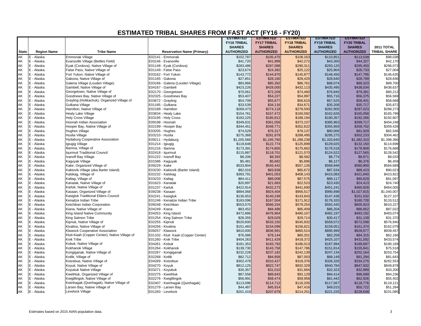|              |                          |                                               |                                                       | <b>ESTIMATED</b>   | <b>ESTIMATED</b>      | <b>ESTIMATED</b>   | <b>ESTIMATED</b>      | <b>ESTIMATED</b>      |                       |
|--------------|--------------------------|-----------------------------------------------|-------------------------------------------------------|--------------------|-----------------------|--------------------|-----------------------|-----------------------|-----------------------|
|              |                          |                                               |                                                       | <b>FY16 TRIBAL</b> | <b>FY17 TRIBAL</b>    | <b>FY18 TRIBAL</b> | <b>FY19 TRIBAL</b>    | <b>FY20 TRIBAL</b>    |                       |
|              |                          |                                               |                                                       | <b>SHARES</b>      | <b>SHARES</b>         | <b>SHARES</b>      | <b>SHARES</b>         | <b>SHARES</b>         | <b>2011 TOTAL</b>     |
| <b>State</b> | <b>Region Name</b>       | <b>Tribe Name</b>                             | <b>Reservation Name (Primary)</b>                     | <b>AUTHORIZED</b>  | <b>AUTHORIZED</b>     | <b>AUTHORIZED</b>  | <b>AUTHORIZED</b>     | <b>AUTHORIZED</b>     | <b>TRIBAL SHARE</b>   |
| AK           | E - Alaska               | Emmonak Village                               | E02141 - Emmonak                                      | \$102,787          | \$105,475             | \$108,163          | \$110,851             | \$113,539             | \$98,038              |
| AK           | E - Alaska               | Evansville Village (Bettles Field)            | E03146 - Evansville                                   | \$41,720           | \$41,999              | \$42,272           | \$43,300              | \$44,327              | \$42,170              |
| AK           | E - Alaska               | Eyak (Cordova), Native Village of             | E01148 - Eyak (Cordova)                               | \$283,486          | \$287,088             | \$290,311          | \$293,120             | \$295,450             | \$296,073             |
| AK           | E - Alaska               | False Pass, Native Village of                 | E01149 - False Pass                                   | \$23,674           | \$24,382              | \$25,122           | \$25,904              | \$26,733              | \$27,004              |
| AK           | E - Alaska               | Fort Yukon, Native Village of                 | E03162 - Fort Yukon                                   | \$143,772          | \$144,970             | \$145,877          | \$146,456             | \$147,795             | \$146,635             |
| AK           | E - Alaska               | Gakona, Native Village of                     | E01165 - Gakona                                       | \$27,851           | \$28,160              | \$28,425           | \$28,640              | \$28,799              | \$28,836              |
| AK           | E - Alaska               | Galena Village (Louden Village)               | E03166 - Galena (Louden Village)                      | \$83,966           | \$85,392              | \$86,761           | \$88,074              | \$89,323              | \$89,700              |
| AK           | E - Alaska               | Gambell, Native Village of                    | E04167 - Gambell                                      | \$423,226          | \$428,000             | \$432,113          | \$435,495             | \$438,034             | \$438,637             |
| AK           | E - Alaska               | Georgetown, Native Village of                 | E02170 - Georgetown                                   | \$70,061           | \$72,209              | \$74,460           | \$76,845              | \$79,381              | \$80,212              |
| AK           | E - Alaska               | Goodnews Bay, Native Village of               | E02325 - Goodnews Bay                                 | \$53,407           | \$54,227              | \$54,997           | \$55,716              | \$56,375              | \$56,569              |
| AK           | E - Alaska               | Grayling (Holikachuk), Organized Village of   | E03672 - Grayling                                     | \$54,709           | \$55,677              | \$56,615           | \$57,525              | \$58,401              | \$58,668              |
| AK           | E - Alaska               | Gulkana Village                               | E01185 - Gulkana                                      | \$33,539           | \$34,116              | \$34,671           | \$35,206              | \$35,717              | \$35,872              |
| AK           | E - Alaska               | Hamilton, Native Village of                   | E02189 - Hamilton                                     | \$269,473          | \$274,118             | \$278,593          | \$282,905             | \$287,023             | \$288,273             |
| AK           | E - Alaska               | <b>Healy Lake Village</b>                     | E03634 - Healy Lake                                   | \$154,761          | \$157,472             | \$160,092          | \$162,626             | \$165,058             | \$165,799             |
| AK           | E - Alaska               | <b>Holy Cross Village</b>                     | E03195 - Holy Cross                                   | \$183,225          | \$185,812             | \$188,194          | \$190,357             | \$192,266             | \$192,807             |
| AK           | E - Alaska               | Hoonah Indian Association                     | E09198 - Hoonah                                       | \$349,631          | \$361,056             | \$373,107          | \$385,963             | \$399,717             | \$404,248             |
| AK           | E - Alaska               | Hooper Bay, Native Village of                 | E02199 - Hooper Bay                                   | \$344,451          | \$348,771             | \$352,622          | \$355,959             | \$358,702             | \$359,428             |
| AK           | E - Alaska               | <b>Hughes Village</b>                         | E03205 - Hughes                                       | \$74,529           | \$76,317              | \$78,137           | \$80,006              | \$81,929              | \$82,546              |
| AK           | E - Alaska               | Huslia Village                                | E03210 - Huslia                                       | \$275,368          | \$281,879             | \$288,495          | \$295,275             | \$302,233             | \$304,462             |
| AK           | E - Alaska               | <b>Hydaburg Cooperative Association</b>       | E09211 - Hydaburg                                     | \$1,205,566        | \$1,245,760           | \$1,288,238        | \$1,333,640           | \$1,382,310           | \$1,398,366           |
| AK           | E - Alaska               | Igiugig Village                               | E01214 - Igiugig                                      | \$119,648          | \$122,774             | \$125,899          | \$129,025             | \$132,150             | \$114,699             |
| AK           | E - Alaska               | Iliamna, Village of                           | E01216 - Iliamna                                      | \$173,391          | \$174,805             | \$175,862          | \$176,518             | \$178,908             | \$176,668             |
| AK           | E - Alaska               | Iqurmuit Traditional Council                  | E02418 - Iqurmuit                                     | \$115,887          | \$118,701             | \$121,570          | \$124,522             | \$127,565             | \$128,542             |
| AK           | E - Alaska               | Ivanoff Bay Village                           | E01222 - Ivanoff Bay                                  | \$8,206            | \$8,393               | \$8,582            | \$8,774               | \$8,971               | \$9,033               |
| AK           | E - Alaska               | Kaguyak Village                               | E01586 - Kaguyak                                      | \$5,481            | \$5,682               | \$5,896            | \$6,127               | \$6,376               | \$6,459               |
| AK           | E - Alaska               | Kake, Organized Village of                    | E09229 - Kake                                         | \$533,804          | \$545,442             | \$557,126          | \$568,946             | \$580,900             | \$584,689             |
| AK           | E - Alaska               | Kaktovik Village (aka Barter Island)          | E03230 - Kaktovik (Barter Island)                     | \$82,016           | \$83,838              | \$85,672           | \$87,534              | \$89,423              | \$90,023              |
| AK           | E - Alaska               | Kalskag, Village of                           | E02232 - Kalskag                                      | \$393,791          | \$401,053             | \$408,143          | \$415,083             | \$421,840             | \$423,922             |
| AK           | E - Alaska               | Kaltag, Village of                            | E03233 - Kaltag                                       | \$84,411           | \$86,008              | \$87,575           | \$89,117              | \$90,629              | \$91,097              |
| AK           | E - Alaska               | Kanatak, Native Village of                    | E01623 - Kanatak                                      | \$20,897           | \$21,683              | \$22,523           | \$23,430              | \$24,413              | \$24,740              |
| AK           | E - Alaska               | Karluk, Native Village of                     | E01237 - Karluk                                       | \$422,914          | \$432,273             | \$441,690          | \$451,241             | \$460,928             | \$464,005             |
| AK           | E - Alaska               | Kasaan, Organized Village of                  | E09238 - Kasaan                                       | \$894,068          | \$924,404             | \$956,517          | \$990,898             | \$1,027,815           | \$1,040,007           |
| AK           | E - Alaska               | Kasigluk Traditional Elders Council           | E02241 - Kasigluk                                     | \$136,653          | \$140,248             | \$143,843          | \$147,438             | \$151,032             | \$127,107             |
| AK           | E - Alaska               | Kenaitze Indian Tribe                         | E01246 - Kenaitze Indian Tribe                        | \$163,096          | \$167,504             | \$171,912          | \$176,320             | \$180,728             | \$133,512             |
| AK           | E - Alaska               | Ketchikan Indian Corporation                  | E09248 - Ketchikan                                    | \$553,570          | \$566,334             | \$579,254          | \$592,445             | \$605,923             | \$610,227             |
| AK           | E - Alaska               | Kiana, Native Village of                      | E04249 - Kiana                                        | \$83,452           | \$84,488              | \$85,409           | \$86,204              | \$86,852              | \$87,022              |
| AK           | E - Alaska               | King Island Native Community                  | E04253 - King Island                                  | \$472,886          | \$476,964             | \$480,107          | \$482,197             | \$483,192             | \$483,074             |
| AK           | E - Alaska               | King Salmon Tribe                             | E01254 - King Salmon Tribe                            | \$28,355           | \$29,029              | \$29,714           | \$30,417              | \$31,139              | \$31,370              |
| AK           | E - Alaska               | Kipnuk, Native Village of                     | E02255 - Kipnuk                                       | \$520,600          | \$533,150             | \$545,932          | \$559,072             | \$572,598             | \$576,940             |
| AK           | E - Alaska               | Kivalina, Native Village of                   | E04256 - Kivalina                                     | \$151,483          | \$154,099             | \$156,621          | \$159,051             | \$161,374             | \$162,079             |
| AK           | E - Alaska               | Klawock Cooperative Association               | E09257 - Klawock                                      | \$810,000          | \$836,991             | \$865,514          | \$895,999             | \$928,677             | \$939,457             |
| AK           | E - Alaska               | Kluti-Kaah (Copper Center), Native Village of | E01102 - Kluti Kaah (Copper Center)                   | \$76,086           | \$78,144              | \$80,201           | \$82,258              | \$84,315              | \$62,166              |
| AK           | E - Alaska               | Knik Tribe                                    | E01260 - Knik Tribe                                   | \$404,263          | \$411,429             | \$418,372          | \$425,107             | \$431,592             | \$433,574             |
| AK           | E - Alaska               | Kobuk, Native Village of                      | E04261 - Kobuk                                        | \$181,353          | \$183,793             | \$186,013          | \$187,994             | \$189,697             | \$190,169             |
| AK           | E - Alaska               | Kokhanok Village                              | E01264 - Kokhanok                                     | \$139,730          | \$143,758             | \$147,786          | \$151,814             | \$155,841             | \$75,518              |
| AK           | E - Alaska               | Kongiganak, Native Village of                 | E02267 - Kongiganak                                   | \$232,228          | \$237,182             | \$242,139          | \$247,134             | \$252,164             | \$253,754             |
| AK           | E - Alaska               | Kotlik, Village of                            | E02268 - Kotlik                                       | \$82,712           | \$84,858              | \$87,003           | \$89,149              | \$91,294              | \$81,643              |
| AK           | E - Alaska               | Kotzebue, Native Village of                   | E04269 - Kotzebue                                     | \$302,478          | \$310,427             | \$318,376          | \$326,326             | \$334,275             | \$282,553             |
| AK           | E - Alaska               | Koyuk, Native Village of                      | E04270 - Koyuk                                        | \$812,125          | \$822,747             | \$832,329          | \$840,784             | \$847,932             | \$849,878             |
| AK           | E - Alaska               | Koyukuk Native Village                        | E03271 - Koyukuk                                      | \$30,357           | \$31,010              | \$31,664           | \$32,323              | \$32,989              | \$33,200              |
| AK           | E - Alaska               | Kwethluk, Organized Village of                | E02275 - Kwethluk                                     | \$87,558           | \$89,843              | \$92,129           |                       | \$96,699              | \$84,236              |
|              |                          |                                               |                                                       |                    |                       |                    | \$94,414              |                       |                       |
| AK           | E - Alaska               | Kwigillingok, Native Village of               | E02276 - Kwigillingok                                 | \$56,991           | \$58,474              | \$59,958           | \$61,442              | \$62,926              | \$55,402              |
| AK<br>AK     | E - Alaska<br>E - Alaska | Kwinhagak (Quinhagak), Native Village of      | E02407 - Kwinhagak (Quinhagak)<br>E01279 - Larsen Bay | \$113,096          | \$114,712<br>\$45,914 | \$116,205          | \$117,567<br>\$49,015 | \$118,776<br>\$50,722 | \$119,121<br>\$51,284 |
|              |                          | Larsen Bay, Native Village of                 |                                                       | \$44,487           |                       | \$47,416           |                       |                       |                       |
| AK           | E - Alaska               | Levelock Village                              | E01283 - Levelock                                     | \$201,419          | \$207,679             | \$214,251          | \$221,225             | \$228,648             | \$231,085             |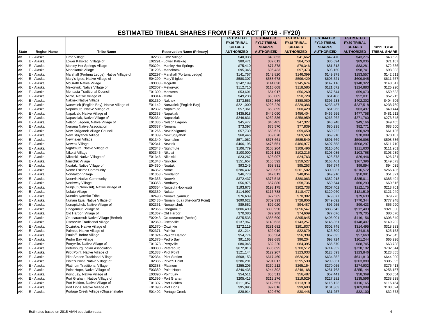|                |                    |                                             |                                       | <b>ESTIMATED</b>   | <b>ESTIMATED</b>   | <b>ESTIMATED</b>       | <b>ESTIMATED</b>   | <b>ESTIMATED</b>   |                        |
|----------------|--------------------|---------------------------------------------|---------------------------------------|--------------------|--------------------|------------------------|--------------------|--------------------|------------------------|
|                |                    |                                             |                                       | <b>FY16 TRIBAL</b> | <b>FY17 TRIBAL</b> | <b>FY18 TRIBAL</b>     | <b>FY19 TRIBAL</b> | <b>FY20 TRIBAL</b> |                        |
|                |                    |                                             |                                       | <b>SHARES</b>      | <b>SHARES</b>      | <b>SHARES</b>          | <b>SHARES</b>      | <b>SHARES</b>      | <b>2011 TOTAL</b>      |
| <b>State</b>   | <b>Region Name</b> | <b>Tribe Name</b>                           | <b>Reservation Name (Primary)</b>     | <b>AUTHORIZED</b>  | <b>AUTHORIZED</b>  | <b>AUTHORIZED</b>      | <b>AUTHORIZED</b>  | <b>AUTHORIZED</b>  | <b>TRIBAL SHARE</b>    |
| AK             | E - Alaska         | Lime Village                                | E02288 - Lime Village                 | \$40,038           | \$40,853           | \$41,662               | \$42,470           | \$43,276           | \$43,529               |
| AK             | E - Alaska         | Lower Kalskag, Village of                   | E02291 - Lower Kalskag                | \$80,471           | \$82,612           | \$84,753               | \$86,894           | \$89,036           | \$71,107               |
| AK             | E - Alaska         | Manley Hot Springs Village                  | E03294 - Manley Hot Springs           | \$75,410           | \$77,378           | \$79,346               | \$81,313           | \$83,281           | \$72,636               |
| AK             | E - Alaska         | Manokotak Village                           | E01295 - Manokotak                    | \$95,345           | \$96,433           | \$97,373               | \$98,150           | \$98,741           | \$98,883               |
| AK             | E - Alaska         | Marshall (Fortuna Ledge), Native Village of | E02297 - Marshall (Fortuna Ledge)     | \$141,757          | \$142,820          | \$146,399              | \$149,978          | \$153,557          | \$142,511              |
| AK             | E - Alaska         | Mary's Igloo, Native Village of             | E04299 - Mary'S Igloo                 | \$580,307          | \$588,678          | \$596,429              | \$603,521          | \$609,845          | \$611,657              |
| AK             | E - Alaska         | <b>McGrath Native Village</b>               | E03303 - Mcgrath                      | \$142,199          | \$144,030          | \$145,674              | \$147,116          | \$148,322          | \$148,647              |
|                | E - Alaska         | Mekoryuk, Native Village of                 | E02307 - Mekoryuk                     | \$112,710          | \$115,608          | \$118,585              | \$121,672          | \$124,883          | \$125,920              |
| AK<br>AK       | E - Alaska         | Mentasta Traditional Council                | E01309 - Mentasta                     | \$53,601           | \$54,917           | \$56,260               | \$57,644           | \$59,073           | \$59,533               |
| AK             | E - Alaska         | Minto, Native Village of                    | E03314 - Minto                        | \$49,238           | \$50,005           | \$50,728               | \$51,406           | \$52,031           | \$52,215               |
| AK             | E - Alaska         | Naknek Native Village                       | E01330 - Naknek                       | \$373,553          | \$380,866          | \$388,080              | \$395,233          | \$402,302          | \$404,506              |
| AK             | E - Alaska         | Nanwalek (English Bay), Native Village of   | E01142 - Nanwalek (English Bay)       | \$221,000          | \$225,229          | \$229,386              | \$233,487          | \$237,518          | \$238,769              |
| AK             | E - Alaska         | Napaimute, Native Village of                | E02332 - Napaimute                    | \$57,361           | \$58,895           | \$60,429               | \$61,963           | \$63,497           | \$49,444               |
| AK             | E - Alaska         | Napakiak, Native Village of                 | E02333 - Napakiak                     | \$435,918          | \$446,090          | \$456,404              | \$466,955          | \$477,758          | \$481,212              |
| AK             | E - Alaska         | Napaskiak, Native Village of                | E02334 - Napaskiak                    | \$246,831          | \$252,836          | \$258,959              | \$265,262          | \$271,760          | \$273,848              |
| AK             | E - Alaska         | Nelson Lagoon, Native Village of            | E01336 - Nelson Lagoon                | \$45,477           | \$46,405           | \$47,327               | \$48,248           | \$49,166           | \$49,455               |
| AK             | E - Alaska         | Nenana Native Association                   | E03337 - Nenana                       | \$73,397           | \$75,570           | \$77,839               | \$80,235           | \$82,771           | \$83,600               |
| AK             | E - Alaska         | New Koliganek Village Council               | E01266 - New Koliganek                | \$57,739           | \$58,621           | \$59,450               | \$60,222           | \$60,928           | \$61,135               |
| AK             | E - Alaska         | New Stuyahok Village                        | E01339 - New Stuyahok                 | \$68,446           | \$69,070           | \$69,563               | \$69,910           | \$70,089           | \$70,107               |
| AK             | E - Alaska         | Newhalen Village                            | E01340 - Newhalen                     | \$571,062          | \$578,661          | \$585,549              | \$591,669          | \$596,898          | \$598,336              |
| AK             | E - Alaska         | Newtok Village                              | E02341 - Newtok                       | \$466,195          | \$476,551          | \$486,977              | \$497,558          | \$508,297          | \$511,710              |
| AK             | E - Alaska         | Nightmute, Native Village of                | E02343 - Nightmute                    | \$106,779          | \$108,204          | \$109,496              | \$110,646          | \$111,630          | \$111,901              |
| AK             | E - Alaska         | Nikolai Village                             | E03345 - Nikolai                      | \$100,000          | \$101,182          | \$102,215              | \$103,085          | \$103,768          | \$103,939              |
| AK             | E - Alaska         | Nikolski, Native Village of                 | E01346 - Nikolski                     | \$23,267           | \$23,997           | \$24,763               | \$25,578           | \$26,446           | \$26,731               |
| AK             | E - Alaska         | Ninilchik Village                           | E01348 - Ninilchik                    | \$151,657          | \$155,592          | \$159,527              | \$163,461          | \$167,396          | \$149,573              |
| AK             | E - Alaska         | Noatak, Native Village of                   | E04350 - Noatak                       | \$93,245           | \$93,831           | \$95,253               | \$97,574           | \$99,894           | \$94,035               |
|                | E - Alaska         | Nome Eskimo Community                       | E04352 - Nome                         | \$286,432          | \$293,967          | \$301,502              | \$309,037          | \$316,572          | \$266,436              |
| AK<br>AK<br>AK | E - Alaska         | Nondalton Village                           | E01353 - Nondalton                    | \$46,778           | \$47,813           | \$48,854               | \$49,910           | \$50,981           | \$51,321               |
|                | E - Alaska         | Noorvik Native Community                    | E04355 - Noorvik                      | \$372,437          | \$376,548          | \$380,063              | \$382,918          | \$385,011          | \$385,494              |
| AK             | E - Alaska         | Northway Village                            | E03358 - Northway                     | \$56.975           | \$57,880           | \$58,736               | \$59,544           | \$60,293           | \$60,516               |
| AK             | E - Alaska         | Nuigsut (Nooiksut), Native Village of       | E03354 - Nuiqsut (Nooiksut)           | \$193,673          | \$198,175          | \$202,738              | \$207,402          | \$212,175          | \$213,701              |
| AK             | E - Alaska         | Nulato Village                              | E03359 - Nulato                       | \$114,997          | \$116,788          | \$118,477              | \$120,060          | \$121,519          | \$121,949              |
| AK             | E - Alaska         | Nunakauyarmiut Tribe                        | E02490 - Nunakauyarmiut               | \$76,639           | \$77,565           | \$78,382               | \$79,077           | \$79,633           | \$79,776               |
|                | E - Alaska         | Nunam Iqua, Native Village of               | E02436 - Nunam Iqua (Sheldon'S Point) | \$690,622          | \$709,393          | \$728,806              | \$749,092          | \$770,344          | \$777,248              |
| AK<br>AK       | E - Alaska         | Nunapitchuk, Native Village of              | E02361 - Nunapitchuk                  | \$89,552           | \$92,020           | \$94,487               | \$96,955           | \$99,423           | \$65,990               |
| AK             | E - Alaska         | Ohogamiut, Village of                       | E02366 - Ohogamiut                    | \$806,499          | \$830,950          | \$856,547              | \$883,642          | \$912,403          | \$921,830              |
| AK             | E - Alaska         | Old Harbor, Village of                      | E01367 - Old Harbor                   | \$70,080           | \$72,288           | \$74,609               | \$77,076           | \$79,705           | \$80,570               |
| AK             | E - Alaska         | Orutsararmuit Native Village (Bethel)       | E02043 - Orutsaramuit (Bethel)        | \$375,535          | \$385,690          | \$395,845              | \$406,001          | \$416,156          | \$306,549              |
| AK             | E - Alaska         | Oscarville Traditional Village              | E02369 - Oscarville                   | \$137,967          | \$140,633          | \$143,257              | \$145,851          | \$148,407          | \$149,202              |
| AK             | E - Alaska         | Ouzinkie, Native Village of                 | E01370 - Ouzinkie                     | \$272,119          | \$281,682          | \$291,837              | \$302,745          | \$314,495          | \$318,383              |
| AK             | E - Alaska         | Paimiut, Native Village of                  | E02371 - Paimiut                      | \$21,214           | \$22,019           | \$22,879               | \$23,809           | \$24,818           | \$25,153               |
| AK             | E - Alaska         | Pauloff Harbor Village                      | E01324 - Pauloff Harbor               | \$54,774           | \$55,584           | \$56,339               | \$57,035           | \$57,663           | \$57,845               |
| AK             | E - Alaska         | Pedro Bay Village                           | E01376 - Pedro Bay                    | \$91,165           | \$93,685           | \$96,204               | \$98,724           | \$101,244          | \$65,996               |
| AK             | E - Alaska         | Perryville, Native Village of               | E01378 - Perryville                   | \$80,045           | \$82,220           | \$84,395               | \$86,570           | \$88,745           | \$63,738               |
| AK             | E - Alaska         | Petersburg Indian Association               | E09380 - Petersburg                   | \$672,813          | \$686,695          | \$700,512              | \$714,352          | \$728,192          | \$732,544              |
| AK             | E - Alaska         | Pilot Point, Native Village of              | E01383 - Pilot Point                  | \$121,144          | \$122,207          | \$123,033              | \$123,593          | \$123,846          | \$123,855              |
| AK             | E - Alaska         | <b>Pilot Station Traditional Village</b>    | E02384 - Pilot Station                | \$608,153          | \$617,460          | \$626,201              | \$634,352          | \$641,813          | \$644,000              |
| AK             | E - Alaska         | Pitka's Point, Native Village of            | E02385 - Pitka'S Point                | \$286,291          | \$291,017          | \$295,530              | \$299,831          | \$303,880          | \$305,095              |
| AK             | E - Alaska         | Platinum Traditional Village                | E02388 - Platinum                     | \$255,205          | \$260,212          |                        | \$270,055          | \$274,902          |                        |
|                | E - Alaska         | Point Hope, Native Village of               | E03389 - Point Hope                   | \$240,435          | \$244,392          | \$265,154<br>\$248,168 | \$251,763          | \$255,144          | \$276,413<br>\$256,157 |
| AK<br>AK       |                    |                                             |                                       |                    |                    |                        |                    |                    |                        |
| AK             | E - Alaska         | Point Lay, Native Village of                | E03390 - Point Lay                    | \$54,511           | \$55,511           | \$56,487               | \$57,441           | \$58,369           | \$58,654               |
|                | E - Alaska         | Port Graham, Native Village of              | E01396 - Port Graham                  | \$205,415          | \$212,276          | \$219,529              | \$227,282          | \$235,596          | \$238,338              |
| AK             | E - Alaska         | Port Heiden, Native Village of              | E01397 - Port Heiden                  | \$111,057          | \$112,551          | \$113,910              | \$115,123          | \$116,165          | \$116,454              |
| AK<br>AK       | E - Alaska         | Port Lions, Native Village of               | E01398 - Port Lions                   | \$95,995           | \$97,816           | \$99,603               | \$101,363          | \$103,089          | \$103,624              |
|                | E - Alaska         | Portage Creek Village (Ohgsenakale)         | E01402 - Portage Creek                | \$28,914           | \$29,670           | \$30,448               | \$31,257           | \$32,100           | \$32,373               |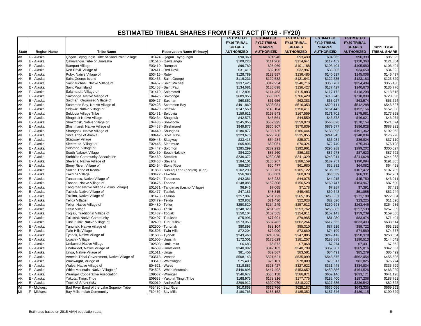|              |                    |                                                              |                                      | <b>ESTIMATED</b>   | <b>ESTIMATED</b>   | <b>ESTIMATED</b>   | <b>ESTIMATED</b>   | <b>ESTIMATED</b>      |                       |
|--------------|--------------------|--------------------------------------------------------------|--------------------------------------|--------------------|--------------------|--------------------|--------------------|-----------------------|-----------------------|
|              |                    |                                                              |                                      | <b>FY16 TRIBAL</b> | <b>FY17 TRIBAL</b> | <b>FY18 TRIBAL</b> | <b>FY19 TRIBAL</b> | <b>FY20 TRIBAL</b>    |                       |
|              |                    |                                                              |                                      | <b>SHARES</b>      | <b>SHARES</b>      | <b>SHARES</b>      | <b>SHARES</b>      | <b>SHARES</b>         | 2011 TOTAL            |
| <b>State</b> | <b>Region Name</b> | <b>Tribe Name</b>                                            | <b>Reservation Name (Primary)</b>    | <b>AUTHORIZED</b>  | <b>AUTHORIZED</b>  | <b>AUTHORIZED</b>  | <b>AUTHORIZED</b>  | <b>AUTHORIZED</b>     | <b>TRIBAL SHARE</b>   |
| АK           | E - Alaska         | Qagan Toyagungin Tribe of Sand Point Village                 | E01424 - Qagan Tayagungin            | \$90,360           | \$91,946           | \$93,480           | \$94,965           | \$96,390              | \$96,825              |
| AK           | E - Alaska         | Qawalangin Tribe of Unalaska                                 | E01510 - Qawalangin                  | \$109,228          | \$111,906          | \$114,641          | \$117,459          | \$120.368             | \$121,304             |
| AK           | E - Alaska         | Rampart Village                                              | E03410 - Rampart                     | \$96,789           | \$98,969           | \$101,168          | \$103,404          | \$105,680             | \$106,404             |
| AK           | E - Alaska         | Red Devil, Village of                                        | E02411 - Red Devil                   | \$31,419           | \$32,195           | \$32,987           | \$33,805           | \$34,650              | \$34,922              |
| AK           | E - Alaska         | Ruby, Native Village of                                      | E03416 - Ruby                        | \$128,789          | \$132,557          | \$136,485          | \$140,627          | \$145,006             | \$146,437             |
| AK           | E - Alaska         | Saint George Island                                          | E01455 - Saint George                | \$119,231          | \$120,532          | \$121,641          | \$122,535          | \$123,183             | \$123,329             |
| AK           | E - Alaska         | Saint Michael, Native Village of                             | E04457 - Saint Michael               | \$337,425          | \$342,254          | \$346,716          | \$350,787          | \$354,404             | \$355,436             |
| AK           | E - Alaska         | Saint Paul Island                                            | E01458 - Saint Paul                  | \$134,681          | \$135,698          | \$136,427          | \$137,427          | \$140,670             | \$136,776             |
| AK           | E - Alaska         | Salamatoff, Village of                                       | E01419 - Salamatoff                  | \$112,891          | \$114,453          | \$115,883          | \$117,172          | \$118,298             | \$118,615             |
| AK           | E - Alaska         | Savoonga, Native Village of                                  | E04425 - Savoonga                    | \$689,855          | \$698,605          | \$706,429          | \$713,243          | \$718,890             | \$720,396             |
| AK           | E - Alaska         | Saxman, Organized Village of                                 | E09427 - Saxman                      | \$60,852           | \$61,656           | \$62,383           | \$63,027           | \$63,574              | \$63,724              |
| AK           | E - Alaska         | Scammon Bay, Native Village of                               | E02428 - Scammon Bay                 | \$491,869          | \$503,981          | \$516,353          | \$529,111          | \$542,288             | \$546,527             |
| AK           | E - Alaska         | Selawik, Native Village of                                   | E04429 - Selawik                     | \$147,550          | \$149,104          | \$150,411          | \$151,443          | \$152,156             | \$152,308             |
| AK           | E - Alaska         | Seldovia Village Tribe                                       | E01431 - Seldovia                    | \$159,611          | \$163,543          | \$167,559          | \$171,702          | \$175,981             | \$177,358             |
| AK           | E - Alaska         | Shageluk Native Village                                      | E03434 - Shaqeluk                    | \$42,575           | \$43,561           | \$44,559           | \$45,578           | \$46,621              | \$46,954              |
| AK           | E - Alaska         | Shaktoolik, Native Village of                                | E04435 - Shaktoolik                  | \$545,055          | \$552,395          | \$559,070          | \$565,028          | \$570,154             | \$571,574             |
| AK           | E - Alaska         | Shishmaref, Native Village of                                | E04438 - Shishmaref                  | \$849,873          | \$860,907          | \$870,839          | \$879,577          | \$886,928             | \$888,921             |
| AK           | E - Alaska         | Shungnak, Native Village of                                  | E04440 - Shungnak                    | \$180,872          | \$183,735          | \$186,444          | \$188,995          | \$191,362             | \$192,063             |
|              | E - Alaska         | Sitka Tribe of Alaska                                        | E09442 - Sitka Tribe                 | \$223,676          | \$229,766          | \$235,855          | \$241,945          | \$248,034             | \$176,278             |
| AK<br>AK     | E - Alaska         | Skagway Village                                              | E09443 - Skagway                     | \$33,415           | \$34,234           | \$35,071           | \$35,934           | \$36,824              | \$37,110              |
| AK           | E - Alaska         | Sleetmute, Village of                                        | E02446 - Sleetmute                   | \$65,896           | \$68,051           | \$70,324           | \$72,749           | \$75,343              | \$76,198              |
| AK           | E - Alaska         | Solomon, Village of                                          | E04447 - Solomon                     | \$285,299          | \$289,292          | \$292,961          | \$296,283          | \$299,202             | \$300,027             |
| AK           | E - Alaska         | South Naknek Village                                         | E01450 - South Naknek                | \$84,220           | \$85,260           | \$86,183           | \$86,978           | \$87,623              | \$87,792              |
| AK           | E - Alaska         | <b>Stebbins Community Association</b>                        | E04460 - Stebbins                    | \$236,372          | \$239,035          | \$241,329          | \$243,214          | \$244,628             | \$244,963             |
| AK           | E - Alaska         | Stevens, Native Village of                                   | E03463 - Stevens                     | \$184,101          | \$186,267          | \$188,159          | \$189,751          | \$190,994             | \$191,305             |
| AK           | E - Alaska         | Stony River, Village of                                      | E02464 - Stony River                 | \$59,267           | \$60,477           | \$61,680           | \$62,882           | \$64,082              | \$64,458              |
| AK           | E - Alaska         | Sun'ag Tribe of Kodiak                                       | E01850 - Sun'Aq Tribe (Kodiak) (Pop) | \$102,290          | \$103,761          | \$105,122          | \$106,365          | \$107,472             | \$107,789             |
| AK           | E - Alaska         | Takotna Village                                              | E03472 - Takotna                     | \$56,390           | \$58,601           | \$60,970           | \$63,539           | \$66,331              | \$67,261              |
| AK           | E - Alaska         | Tanacross, Native Village of                                 | E03474 - Tanacross                   | \$42,381           | \$43,232           | \$44,075           | \$44,915           | \$45,750              | \$46,011              |
| AK           | E - Alaska         | Tanana, Native Village of                                    | E03475 - Tanana                      | \$148,088          | \$152,308          | \$156,528          | \$160,747          | \$164,967             | \$87,630              |
| AK           | E - Alaska         | Tangirnaq Native Village (Lesnoi Village)                    | E01531 - Tangirnaq (Lesnoi Village)  | \$6,946            | \$7,065            | \$7,178            | \$7,287            | \$7,391               | \$7,423               |
| AK           | E - Alaska         | Tatitlek, Native Village of                                  | E01477 - Tatitlek                    | \$47,186           | \$48,315           | \$49,463           | \$50,643           | \$51,855              | \$52,244              |
| AK           | E - Alaska         | Tazlina, Native Village of                                   | E01478 - Tazlina                     | \$257,987          | \$261,723          | \$265,185          | \$268,357          | \$271,190             | \$272,004             |
| AK           | E - Alaska         | Telida Village                                               | E03479 - Telida                      | \$20,832           | \$21,430           | \$22,028           | \$22,626           | \$23,225              | \$11,596              |
| AK           | E - Alaska         | Teller, Native Village of                                    | E04480 - Teller                      | \$250,620          | \$254,249          | \$257,612          | \$260,693          | \$263,446             | \$264,236             |
| AK           | E - Alaska         | Tetlin Village                                               | E03483 - Tetlin                      | \$248,329          | \$251,232          | \$253,762          | \$255,883          | \$257,530             | \$257,939             |
| AK           | E - Alaska         | Togiak, Traditional Village of                               | E01487 - Togiak                      | \$150,104          | \$152,565          | \$154,911          | \$157,143          | \$159,239             | \$159,866             |
| AK           | E - Alaska         | <b>Tuluksak Native Community</b>                             | E02497 - Tuluksak                    | \$75,996           |                    | \$79,985           | \$81,980           | \$83,974              | \$71,404              |
| AK           | E - Alaska         |                                                              | E02499 - Tuntutuliak                 |                    | \$77,991           |                    |                    |                       | \$638,514             |
| AK           |                    | Tuntutuliak, Native Village of<br>Tununak, Native Village of |                                      | \$573,053          | \$587,482          | \$602,264          | \$617,555          | \$633,403             | \$63,229              |
|              | E - Alaska         |                                                              | E02500 - Tununak                     | \$80,898           | \$83,104           | \$85,310           | \$87,516           | \$89,722              |                       |
| AK           | E - Alaska         | Twin Hills Village                                           | E01503 - Twin Hills                  | \$72,204           | \$72,990           | \$73,660           | \$74,199           | \$74,589<br>\$250,378 | \$74,677<br>\$250,554 |
| AK<br>AK     | E - Alaska         | Tyonek, Native Village of                                    | E01505 - Tyonek                      | \$243,468          | \$245,896          | \$247,895          | \$249,413          |                       |                       |
|              | E - Alaska         | Ugashik Village                                              | E01506 - Ugashik                     | \$172,001          | \$176,629          | \$181,257          | \$185,885          | \$190,513             | \$144,042             |
| AK           | E - Alaska         | <b>Umkumiut Native Village</b>                               | E02508 - Umkumiut                    | \$6,683            | \$6,872            | \$7,068            | \$7,274            | \$7,491               | \$7,562               |
| AK           | E - Alaska         | Unalakleet, Native Village of                                | E04509 - Unalakleet                  | \$340,092          | \$342,162          | \$348,799          | \$357,307          | \$365,816             | \$342,587             |
| AK           | E - Alaska         | Unga, Native Village of                                      | E01511 - Unga                        | \$81,456           | \$82,567           | \$83,581           | \$84,491           | \$85,279              | \$85,499              |
| AK           | E - Alaska         | Venetie Tribal Government, Native Village of                 | E03518 - Venetie                     | \$508,143          | \$521,621          | \$535,099          | \$548,576          | \$562,054             | \$455,596             |
| AK           | E - Alaska         | Wainwright, Village of                                       | E03519 - Wainwright                  | \$75,409           | \$76,101           | \$78,009           | \$79,917           | \$81,825              | \$75,774              |
| AK           | E - Alaska         | Wales, Native Village of                                     | E04521 - Wales                       | \$318,883          | \$323,427          | \$327,622          | \$331,445          | \$334,834             | \$335,799             |
| AK           | E - Alaska         | White Mountain, Native Village of                            | E04525 - White Mountain              | \$440,898          | \$447,492          | \$453,652          | \$459,356          | \$464,526             | \$466,029             |
| AK           | E - Alaska         | <b>Wrangell Cooperative Association</b>                      | E09532 - Wrangell                    | \$546,677          | \$566,158          | \$586,871          | \$609,146          | \$633,171             | \$641,128             |
| AK           | E - Alaska         | Yakutat Tlingit Tribe                                        | E09533 - Yakutat Tlingit Tribe       | \$168,975          | \$173,316          | \$177,775          | \$182,400          | \$187,208             | \$188,761             |
| AK<br>WI     | E - Alaska         | Yupiit of Andreafsky                                         | E02019 - Andreafski                  | \$299,912          | \$309,070          | \$318,227          | \$327,385          | \$336,542             | \$82,823              |
|              | F - Midwest        | Bad River Band of the Lake Superior Tribe                    | F55430 - Bad River                   | \$610,858          | \$619,766          | \$628,187          | \$636,056          | \$643,335             | \$669,362             |
| MI           | F - Midwest        | Bay Mills Indian Community                                   | F60470 - Bay Mills                   | \$180,765          | \$183,152          | \$185,352          | \$187,346          | \$189,115             | \$190,329             |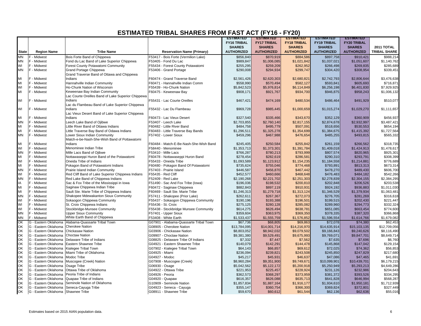|                      |                                              |                                                    |                                          | <b>ESTIMATED</b>   | <b>ESTIMATED</b>   | <b>ESTIMATED</b>   | <b>ESTIMATED</b>   | <b>ESTIMATED</b>       |                     |
|----------------------|----------------------------------------------|----------------------------------------------------|------------------------------------------|--------------------|--------------------|--------------------|--------------------|------------------------|---------------------|
|                      |                                              |                                                    |                                          | <b>FY16 TRIBAL</b> | <b>FY17 TRIBAL</b> | <b>FY18 TRIBAL</b> | <b>FY19 TRIBAL</b> | <b>FY20 TRIBAL</b>     |                     |
|                      |                                              |                                                    |                                          | <b>SHARES</b>      | <b>SHARES</b>      | <b>SHARES</b>      | <b>SHARES</b>      | <b>SHARES</b>          | <b>2011 TOTAL</b>   |
| <b>State</b>         | <b>Region Name</b>                           | <b>Tribe Name</b>                                  | <b>Reservation Name (Primary)</b>        | <b>AUTHORIZED</b>  | <b>AUTHORIZED</b>  | <b>AUTHORIZED</b>  | <b>AUTHORIZED</b>  | <b>AUTHORIZED</b>      | <b>TRIBAL SHARE</b> |
| MN                   | F - Midwest                                  | Bois Forte Band of Chippewa                        | F53417 - Bois Forte (Vermilion Lake)     | \$856,840          | \$870,919          | \$884,586          | \$897,758          | \$910,421              | \$988,214           |
| MN                   | F - Midwest                                  | Fond du Lac Band of Lake Superior Chippewa         | F53405 - Fond Du Lac                     | \$989,847          | \$1,006,085        | \$1,021,842        | \$1,037,021        | \$1,051,607            | \$1,140,762         |
| WI                   | F - Midwest                                  | Forest County Potawatomi Community                 | F55434 - Forest County Potawatomi        | \$255,295          | \$259,209          | \$262,952          | \$266,498          | \$269,835              | \$285,689           |
| MN                   | F - Midwest                                  | Grand Portage Chippewa                             | F53406 - Grand Portage                   | \$290,008          | \$294,934          | \$299,747          | \$304,420          | \$308,954              | \$339,451           |
|                      |                                              | Grand Traverse Band of Ottawa and Chippewa         |                                          |                    |                    |                    |                    |                        |                     |
| MI                   | F - Midwest                                  | Indians                                            | F60474 - Grand Traverse Band             | \$2,561,426        | \$2,620,303        | \$2,680,821        | \$2,742,793        | \$2,806,644            | \$3,476,638         |
| MI                   | F - Midwest                                  | Hannahville Indian Community                       | F60471 - Hannahville Indian Comm         | \$558,990          | \$570,494          | \$582,127          | \$593,841          | \$605,693              | \$716,871           |
| WI                   | F - Midwest                                  | Ho-Chunk Nation of Wisconsin                       | F55439 - Ho-Chunk Nation                 | \$5,842,523        | \$5,976,814        | \$6,114,849        | \$6,256,198        | \$6,401,830            | \$7,929,925         |
| MI                   | F - Midwest                                  | Keweenaw Bay Indian Community                      | F60475 - Keweenaw Bay                    | \$908,171          | \$921,767          | \$934,700          | \$946,875          | \$958,243              | \$1,006,132         |
|                      |                                              | Lac Courte Oreilles Band of Lake Superior Chippewa |                                          |                    |                    |                    |                    |                        |                     |
| WI                   | F - Midwest                                  | Indians                                            | F55431 - Lac Courte Oreilles             | \$467,421          | \$474,169          | \$480,534          | \$486,464          | \$491,929              | \$510,077           |
|                      |                                              | Lac du Flambeau Band of Lake Superior Chippewa     |                                          |                    |                    |                    |                    |                        |                     |
| WI                   | F - Midwest                                  | Indians                                            | F55432 - Lac Du Flambeau                 | \$969,728          | \$985,445          | \$1,000,659        | \$1,015,274        | \$1,029,270            | \$1,111,657         |
|                      |                                              | Lac Vieux Desert Band of Lake Superior Chippewa    |                                          |                    |                    |                    |                    |                        |                     |
| MI                   | F - Midwest                                  | Indians                                            | F60473 - Lac Vieux Desert                | \$327,540          | \$335,466          | \$343,670          | \$352,129          | \$360,909              | \$456,937           |
| <b>MN</b>            | F - Midwest                                  | Leech Lake Band of Ojibwe                          | F53407 - Leech Lake                      | \$2,703,855        | \$2,760,140        | \$2,817,155        | \$2,874,678        | \$2,932,997            | \$3,487,421         |
| MI                   | F - Midwest                                  | Little River Band of Ottawa Indians                | F60482 - Little River Band               | \$484,758          | \$495,779          | \$507,091          | \$518,656          | \$530,553              | \$654,194           |
| MI                   | F - Midwest                                  | Little Traverse Bay Band of Odawa Indians          | F60483 - Little Traverse Bay Bands       | \$1,296,511        | \$1,325,278        | \$1,354,699        | \$1,384,675        | \$1,415,392            | \$1,727,564         |
| <b>MN</b>            | F - Midwest                                  | Lower Sioux Indian Community                       | F57402 - Lower Sioux                     | \$459,296          | \$467,988          | \$476,654          | \$485,255          | \$493,815              | \$565,332           |
|                      |                                              | Match-e-be-Nash-She-Wish Band of Pottawatomi       |                                          |                    |                    |                    |                    |                        |                     |
| MI                   | F - Midwest                                  | Indians                                            | F60484 - Match-E-Be-Nash-She-Wish Band   | \$245,405          | \$250,584          | \$255,842          | \$261,159          | \$266,562              | \$318,735           |
| WI                   | F - Midwest                                  | Menominee Indian Tribe                             | F58440 - Menominee                       | \$1,353,713        | \$1,373,301        | \$1,391,784        | \$1,409,018        | \$1,424,913            | \$1,478,617         |
| <b>MN</b>            | F - Midwest                                  | Mille Lacs Band of Ojibwe                          | F53410 - Mille Lacs                      | \$766,287          | \$780,213          | \$793,999          | \$807,574          | \$820,965              | \$925,301           |
| MI                   | F - Midwest                                  | Nottawaseppi Huron Band of the Potawatomi          | F60478 - Nottawaseppi Huron Band         | \$278,454          | \$282,619          | \$286,581          | \$290,310          | \$293,791              | \$308,399           |
| WI                   | F - Midwest                                  | Oneida Tribe of Indians                            | F55433 - Oneida Tribe                    | \$1,093,589        | \$1,123,912        | \$1,154,235        | \$1,184,558        | \$1,214,881            | \$776,689           |
| MI                   | F - Midwest                                  | Pokagon Band of Potawatomi Indians                 | F60480 - Pokagon Band Of Potawatomi      | \$735,624          | \$755,046          | \$774,468          | \$793,891          | \$813,313              | \$673,314           |
| <b>MN</b>            | F - Midwest                                  | Prairie Island Indian Community                    | F57403 - Prairie Island                  | \$446,587          | \$456,870          | \$467,442          | \$478,270          | \$489,430              | \$606,700           |
| WI                   | F - Midwest                                  | Red Cliff Band of Lake Superior Chippewa Indians   | F55435 - Red Cliff                       | \$452,577          | \$460,666          | \$468,648          | \$476,483          | \$484,182              | \$542,266           |
| <b>MN</b>            | F - Midwest                                  | Red Lake Band of Chippewa Indians                  | F52409 - Red Lake                        | \$2,190,268        | \$2,221,702        | \$2,251,303        | \$2,278,839        | \$2,304,155            | \$2,384,295         |
| IA                   | F - Midwest                                  | Sac & Fox Tribe of the Mississippi in Iowa         | F51490 - Sac And Fox Tribe (lowa)        | \$196,036          | \$198,532          | \$200,810          | \$202,848          | \$206,526              | \$203,538           |
| MI                   | F - Midwest                                  | Saginaw Chippewa Indian Tribe                      | F60472 - Saginaw Chippewa                | \$882,843          | \$897,119          | \$910,931          | \$924,192          | \$936,883              | \$1,011,030         |
| MI                   | F - Midwest                                  | Sault Ste. Marie Tribe of Chippewa Indians         | F60469 - Sault Ste. Marie Tribe          | \$1,246,313        | \$1,279,718        | \$1,313,124        | \$1,346,529        | \$1,379,934            | \$1,063,481         |
| MN                   | F - Midwest                                  | Shakopee Mdewakanton Sioux Community               | F57411 - Shakopee (Prior Lake)           | \$262,611          | \$267,367          | \$272,073          | \$276,705          | \$281,269              | \$316,618           |
| WI                   | F - Midwest                                  | Sokaogon Chippewa Community                        | F55437 - Sokaogon Chippewa Community     | \$190,196          | \$193,388          | \$196,501          | \$199,515          | \$202,430              | \$221,447           |
| WI                   | F - Midwest                                  | St. Croix Chippewa Indians                         | F55436 - St. Croix                       | \$275,125          | \$280,128          | \$285,082          | \$289,960          | \$294,773              | \$332,324           |
| WI                   | F - Midwest                                  | Stockbridge-Munsee Community                       | F55438 - Stockbridge Munsee Community    | \$614,275          | \$626,494          | \$638,781          | \$651,085          | \$663,454              | \$774,600           |
| MN                   | F - Midwest                                  | <b>Upper Sioux Community</b>                       | F57401 - Upper Sioux                     | \$359,604          | \$363,975          | \$369,350          | \$378,335          | \$387,320              | \$366,868           |
|                      | <sup>=</sup> - Midwest                       | White Earth Band of Chippewa                       | F53408 - White Earth                     | \$1,533,437        | \$1,555,759        | \$1,576,852        | \$1,596,554        | \$1,614,766            | \$1,679,082         |
| MN<br>OK             | G - Eastern Oklahoma                         | Alabama-Quassarte Tribal Town                      | G07901 - Alabama-Quassarte Tribal Town   | \$67,736           | \$68,805           | \$69,863           | \$72,078           | \$74,380               | \$62,453            |
|                      | G - Eastern Oklahoma                         | <b>Cherokee Nation</b>                             | G08905 - Cherokee Nation                 | \$13,784,095       | \$14,001,714       | \$14,216,970       | \$14,635,914       | \$15,103,135           | \$12,709,056        |
| OK<br>OK             | G - Eastern Oklahoma                         | <b>Chickasaw Nation</b>                            | G03906 - Chickasaw Nation                | \$8,803,052        | \$8,942,032        | \$9,079,502        | \$9,166,843        | \$9,240,626            | \$8,116,490         |
|                      | G - Eastern Oklahoma                         | Choctaw Nation                                     | G09907 - Choctaw Nation                  | \$9,381,380        | \$9,529,491        | \$9,675,993        | \$9,769,071        | \$9,847,701            | \$8,649,714         |
|                      | G - Eastern Oklahoma                         | Delaware Tribe of Indians                          | G08825 - Delaware Tribe Of Indians       | \$7,332            | \$7,447            | \$7,562            | \$7,635            | \$7,696                | \$6,760             |
|                      | G - Eastern Oklahoma                         | Eastern Shawnee Tribe                              | G04921 - Eastern Shawnee Tribe           | \$140,079          | \$142,291          | \$144,478          | \$145,868          | \$147,042              | \$129,154           |
| OK<br>OK<br>OK<br>OK | G - Eastern Oklahoma                         | Kialegee Tribal Town                               | G07902 - Kialegee Tribal Town            | \$64,143           | \$66,857           | \$69,612           | \$72,025           | \$74,362               | \$56,853            |
|                      | G - Eastern Oklahoma                         | Miami Tribe of Oklahoma                            | G04925 - Miami                           | \$236,094          | \$239,821          | \$243,508          | \$245,850          | \$247,829              | \$217,680           |
| OK<br>OK<br>OK<br>OK | G - Eastern Oklahoma                         | Modoc Tribe                                        | G04927 - Modoc                           | \$45,217           | \$45,931           | \$46,637           | \$47,086           | \$47,465               | \$41,691            |
|                      | G - Eastern Oklahoma                         | Muscogee (Creek) Nation                            | G07908 - Muscogee (Creek)                | \$8,960,284        | \$9,351,900        | \$9,749,671        | \$10,099,901       | \$10,439,701           | \$6,179,215         |
|                      | G - Eastern Oklahoma                         | Osage Tribe                                        | G06930 - Osage                           | \$5,042,562        | \$5,122,172        | \$5,200,918        | \$5,250,949        | \$5,293,213            | \$4,649,286         |
|                      |                                              | Ottawa Tribe of Oklahoma                           |                                          |                    |                    |                    |                    |                        |                     |
|                      | G - Eastern Oklahoma<br>G - Eastern Oklahoma | Peoria Tribe of Indians                            | G04922 - Ottawa Tribe<br>G04926 - Peoria | \$221,953          | \$225,457          | \$228,924          | \$231,126          | \$232,986<br>\$393,526 | \$204,643           |
| OK<br>OK<br>OK<br>OK |                                              |                                                    |                                          | \$362,573          | \$368,297          | \$373,959          | \$381,372          |                        | \$334,295           |
|                      | G - Eastern Oklahoma                         | Quapaw Tribe of Indians                            | G04920 - Quapaw                          | \$616,357          | \$626,088          | \$635,713          | \$641,828          | \$646,994              | \$568,287           |
|                      | G - Eastern Oklahoma                         | Seminole Nation of Oklahoma                        | G10909 - Seminole Nation                 | \$1,857,834        | \$1,887,164        | \$1,916,177        | \$1,934,610        | \$1,950,181            | \$1,712,939         |
| OK<br>OK             | G - Eastern Oklahoma Seneca-Cayuga Tribe     |                                                    | G04923 - Seneca - Cayuga                 | \$355,147          | \$360,754          | \$366,300          | \$369,824          | \$372,801              | \$327,449           |
|                      | G - Eastern Oklahoma Shawnee Tribe           |                                                    | G08911 - Shawnee Tribe                   | \$59,670           | \$60,612           | \$61,544           | \$62,136           | \$62,636               | \$55,016            |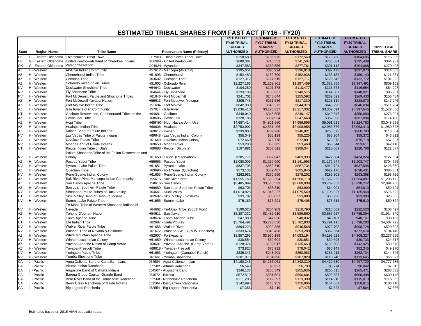|              |                      |                                                     |                                         | <b>ESTIMATED</b>   | <b>ESTIMATED</b>   | <b>ESTIMATED</b>   | <b>ESTIMATED</b>   | <b>ESTIMATED</b>   |                     |
|--------------|----------------------|-----------------------------------------------------|-----------------------------------------|--------------------|--------------------|--------------------|--------------------|--------------------|---------------------|
|              |                      |                                                     |                                         | <b>FY16 TRIBAL</b> | <b>FY17 TRIBAL</b> | <b>FY18 TRIBAL</b> | <b>FY19 TRIBAL</b> | <b>FY20 TRIBAL</b> |                     |
|              |                      |                                                     |                                         | <b>SHARES</b>      | <b>SHARES</b>      | <b>SHARES</b>      | <b>SHARES</b>      | <b>SHARES</b>      | 2011 TOTAL          |
| <b>State</b> | <b>Region Name</b>   | <b>Tribe Name</b>                                   | <b>Reservation Name (Primary)</b>       | <b>AUTHORIZED</b>  | <b>AUTHORIZED</b>  | <b>AUTHORIZED</b>  | <b>AUTHORIZED</b>  | <b>AUTHORIZED</b>  | <b>TRIBAL SHARE</b> |
| OK           | G - Eastern Oklahoma | <b>Thlopthlocco Tribal Town</b>                     | G07903 - Thlopthlocco Tribal Town       | \$158,689          | \$165,575          | \$172,569          | \$178,720          | \$184,685          | \$116,396           |
| OK           | G - Eastern Oklahoma | United Keetoowah Band of Cherokee Indians           | G08904 - United Keetoowah               | \$680,087          | \$710,552          | \$741,507          | \$768,864          | \$795,439          | \$364,931           |
| OK           | G - Eastern Oklahoma | <b>Wyandotte Nation</b>                             | G04924 - Wyandotte                      | \$347,583          | \$362,556          | \$377,761          | \$391,118          | \$404,068          | \$270,403           |
| AZ           | H - Western          | Ak-Chin Indian Community                            | H57612 - Maricopa (Ak Chin)             | \$395,651          | \$396,294          | \$396,910          | \$397,479          | \$397,970          | \$314,883           |
| <b>AZ</b>    | H - Western          | Chemehuevi Indian Tribe                             | H51695 - Chemehuevi                     | \$152,453          | \$152,700          | \$152,938          | \$153,157          | \$156,140          | \$121,331           |
| <b>AZ</b>    | H - Western          | <b>Cocopah Tribe</b>                                | H63602 - Cocopah Tribe                  | \$127,312          | \$127,519          | \$127,717          | \$129,545          | \$132,772          | \$101,323           |
| <b>AZ</b>    | H - Western          | Colorado River Indian Tribes                        | H51603 - Colorado River                 | \$1,227,165        | \$1,262,301        | \$1,297,459        | \$1,332,559        | \$1,367,491        | \$809,102           |
| <b>NV</b>    | H - Western          | Duckwater Shoshone Tribe                            | H64642 - Duckwater                      | \$104,280          | \$107,378          | \$110,477          | \$113,573          | \$116,654          | \$54,997            |
| <b>NV</b>    | H - Western          | <b>Ely Shoshone Tribe</b>                           | H64644 - Ely Shoshone                   | \$133,100          | \$136,837          | \$140,575          | \$144,307          | \$148,021          | \$96,901            |
| <b>NV</b>    | H - Western          | Fort McDermitt Paiute and Shoshone Tribes           | H61646 - Fort Mcdermitt                 | \$241,701          | \$248,644          | \$255,592          | \$262,529          | \$269,433          | \$156,484           |
| <b>AZ</b>    | H - Western          | Fort McDowell Yavapai Nation                        | H55613 - Fort Mcdowell Yavapai          | \$205,745          | \$211,536          | \$217,330          | \$223,114          | \$228,870          | \$147,946           |
| <b>AZ</b>    | H - Western          | Fort Mojave Indian Tribe                            | H51604 - Fort Mojave                    | \$642,330          | \$643,372          | \$644,373          | \$645,296          | \$646,094          | \$511,204           |
| <b>AZ</b>    | H - Western          | Gila River Indian Community                         | H57614 - Gila River                     | \$3,036,410        | \$3,126,837        | \$3,217,332        | \$3,307,694        | \$3,397,645        | \$1,572,806         |
| UT           | H - Western          | Goshute Reservation, Confederated Tribes of the     | H64681 - Goshute                        | \$348,040          | \$348,605          | \$349,147          | \$349,647          | \$350,080          | \$276,991           |
| <b>AZ</b>    | H - Western          | Havasupai Tribe                                     | H68605 - Havasupai                      | \$328,186          | \$337,924          | \$347,668          | \$357,398          | \$367,084          | \$174.460           |
| <b>AZ</b>    | H - Western          | Hopi Tribe                                          | H65K80 - Hopi-Navajo Joint Use          | \$4,687,414        | \$4,821,960        | \$4,956,596        | \$5,091,011        | \$5,224,783        | \$3,048,666         |
| <b>AZ</b>    | H - Western          | Hualapai Indian Tribe                               | H68606 - Hualapai                       | \$2,753,902        | \$2,831,406        | \$2,908,958        | \$2,986,376        | \$3,063,413        | \$1,980,828         |
| <b>AZ</b>    | H - Western          | Kaibab Band of Paiute Indians                       | H69617 - Kaibab                         | \$233,003          | \$239,960          | \$246,921          | \$253,873          | \$260,793          | \$118,564           |
| <b>NV</b>    | H - Western          | Las Vegas Tribe of Paiute Indians                   | H69648 - Las Vegas Indian Colony        | \$55,049           | \$55,139           | \$55,225           | \$55,304           | \$55,372           | \$43,812            |
| <b>NV</b>    | H - Western          | Lovelock Paiute Tribe                               | H61649 - Lovelock Indian Colony         | \$72,660           | \$72,778           | \$72,891           | \$73,878           | \$75,718           | \$57,827            |
| <b>NV</b>    | H - Western          | Moapa Band of Paiute Indians                        | H69650 - Moapa River                    | \$53,298           | \$53,385           | \$53,468           | \$53,544           | \$53,611           | \$42,418            |
| UT           | H - Western          | Paiute Indian Tribe of Utah                         | H69688 - Paiute (Shivwits)              | \$197,881          | \$203,611          | \$209,344          | \$215,069          | \$220,766          | \$122,577           |
|              |                      | Paiute-Shoshone Tribe of the Fallon Reservation and |                                         |                    |                    |                    |                    |                    |                     |
| <b>NV</b>    | H - Western          | Colony                                              | H61658 - Fallon (Reservation)           | \$385,771          | \$397,847          | \$409,933          | \$422,004          | \$434,024          | \$127,634           |
| <b>AZ</b>    | H - Western          | Pascua Yaqui Tribe                                  | H55665 - Pascua Yaqui                   | \$1,080,009        | \$1,110,990        | \$1,141,993        | \$1,172,944        | \$1,203,747        | \$704,726           |
| <b>NV</b>    | H - Western          | Pyramid Lake Paiute Tribe                           | H61651 - Pyramid Lake                   | \$837,705          | \$862,710          | \$887,734          | \$912,721          | \$937,595          | \$426,850           |
| <b>AZ</b>    | H - Western          | Quechan Tribe                                       | H63696 - Fort Yuma (Quechan)            | \$573,138          | \$589,487          | \$605,846          | \$622,178          | \$638,431          | \$385,361           |
| <b>NV</b>    | H - Western          | Reno-Sparks Indian Colony                           | H61653 - Reno-Sparks Indian Colony      | \$262,981          | \$270,589          | \$278,202          | \$285,803          | \$293,368          | \$163,726           |
| <b>AZ</b>    | H - Western          | Salt River Pima-Maricopa Indian Community           | H55615 - Salt River Pima                | \$1,555,768        | \$1,558,294        | \$1,560,718        | \$1,562,953        | \$1,564,887        | \$1,238,172         |
| <b>AZ</b>    | H - Western          | San Carlos Apache Tribe                             | H58616 - San Carlos                     | \$3,485,099        | \$3,586,533        | \$3,688,038        | \$3,789,383        | \$3,890,252        | \$2,094,768         |
| <b>AZ</b>    | H - Western          | San Juan Southern Paiute Tribe                      | H69689 - San Juan Southern Paiute Tribe | \$63,706           | \$63,810           | \$63,909           | \$64,001           | \$64,913           | \$50,701            |
| <b>NV</b>    | H - Western          | Shoshone-Paiute Tribes of Duck Valley               | H64641 - Duck Valley                    | \$1,014,928        | \$1,045,227        | \$1,075,549        | \$1,105,827        | \$1,135,968        | \$516,629           |
| UT           | H - Western          | Skull Valley Band of Goshute Indians                | H62682 - Skull Valley (Goshute)         | \$33,782           | \$33,837           | \$33,890           | \$33,938           | \$33,980           | \$26,886            |
| <b>NV</b>    | H - Western          | Summit Lake Paiute Tribe                            | H61655 - Summit Lake                    | \$75,169           | \$75,291           | \$75,408           | \$75,516           | \$75,610           | \$59,824            |
|              |                      | Te-Moak Tribe of Western Shoshone Indians of        |                                         |                    |                    |                    |                    |                    |                     |
| <b>NV</b>    | H - Western          | Nevada                                              | H64662 - Te-Moak Tribe (South Fork)     | \$199,020          | \$204,903          | \$210,790          | \$216,669          | \$222,520          | \$108,497           |
| <b>AZ</b>    | H - Western          | Tohono O'odham Nation                               | H54611 - San Xavier                     | \$3,387,332        | \$3,486,910        | \$3,586,560        | \$3,686,057        | \$3,785,094        | \$1,914,340         |
| <b>AZ</b>    | H - Western          | <b>Tonto Apache Tribe</b>                           | H68674 - Tonto Apache Tribe             | \$47,880           | \$47,958           | \$48,032           | \$48,101           | \$48,161           | \$38,106            |
| UT           | H - Western          | Ute Indian Tribe                                    | H62687 - Uintah/Ouray                   | \$5,764,492        | \$5,773,850        | \$5,782,833        | \$5,791,115        | \$5,798,280        | \$4,587,723         |
| <b>NV</b>    | H - Western          | <b>Walker River Paiute Tribe</b>                    | H61656 - Walker River                   | \$894,223          | \$920,386          | \$946,568          | \$972,708          | \$998,728          | \$520,693           |
| <b>NV</b>    | H - Western          | Washoe Tribe of Nevada & California                 | H61672 - Washoe (W., S., & W. Ranches)  | \$333,674          | \$343,438          | \$353,208          | \$362,964          | \$372,674          | \$194,140           |
| <b>AZ</b>    | H - Western          | White Mountain Apache Tribe                         | H52607 - Fort Apache                    | \$3,857,265        | \$3,970,189        | \$4,083,194        | \$4,196,023        | \$4,308,327        | \$2,237,556         |
| <b>NV</b>    | H - Western          | Winnemucca Indian Colony                            | H61659 - Winnemucca Indian Colony       | \$30,554           | \$30,604           | \$30,651           | \$30,695           | \$30,733           | \$24,317            |
| <b>AZ</b>    | H - Western          | Yavapai-Apache Nation of Camp Verde                 | H68601 - Yavapai-Apache (Camp Verde)    | \$128,374          | \$132,017          | \$135,663          | \$139,303          | \$142,925          | \$88,570            |
| <b>AZ</b>    | H - Western          | Yavapai-Prescott Tribe                              | H68618 - Yavapai-Prescott               | \$73,823           | \$75,932           | \$78,042           | \$80,149           | \$82,245           | \$49,270            |
| <b>NV</b>    | H - Western          | Yerington Paiute Tribe                              | H61663 - Yerington (Campbell Ranch)     | \$236,343          | \$243,201          | \$250,063          | \$256,915          | \$263,734          | \$144,646           |
| <b>NV</b>    | H - Western          | Yomba Shoshone Tribe                                | H61661 - Yomba Shoshone                 | \$101,973          | \$104,896          | \$107,820          | \$110,740          | \$113,645          | \$66,877            |
| CA           | J - Pacific          | Agua Caliente Band of Cahuilla Indians              | J54584 - Agua Caliente Indian           | \$4,190,246        | \$4,265,961        | \$4,342,329        | \$4,419,680        | \$4,497,729        | \$4,777,786         |
| CA           | J - Pacific          | Alturas Indian Rancheria                            | J52502 - Alturas Rancheria              | \$6,548            | \$6,627            | \$6,703            | \$6,774            | \$6,842            | \$7,043             |
| CA           | J - Pacific          | Augustine Band of Cahuilla Indians                  | J54567 - Augustine Band                 | \$246,133          | \$250,849          | \$255,636          | \$260,515          | \$265,471          | \$283,533           |
| CA           | J - Pacific          | Barona Group-Capitan Grande Band                    | J54572 - Barona                         | \$572,519          | \$581,591          | \$590,604          | \$599,587          | \$608,498          | \$639,148           |
| CA           | J - Pacific          | Bear River Band of the Rohnerville Rancheria        | J52560 - Rohnerville Rancheria          | \$111,205          | \$112,297          | \$113,300          | \$114,210          | \$115,019          | \$116,965           |
| CA           | J - Pacific          | Berry Creek Rancheria of Maidu Indians              | J51504 - Berry Creek Rancheria          | \$142,998          | \$146,952          | \$150,906          | \$154,861          | \$158,815          | \$103,210           |
| CA           | J - Pacific          | Big Lagoon Rancheria                                | J52554 - Big Lagoon Rancheria           | \$7,356            | \$7,419            | \$7,475            | \$7,523            | \$7,564            | \$7,636             |
|              |                      |                                                     |                                         |                    |                    |                    |                    |                    |                     |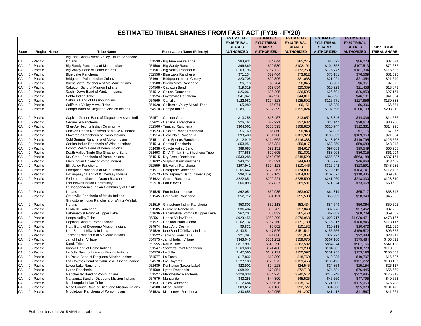|              |                    |                                                 |                                         | <b>ESTIMATED</b>   | <b>ESTIMATED</b>   | <b>ESTIMATED</b>   | <b>ESTIMATED</b>   | <b>ESTIMATED</b>   |                     |
|--------------|--------------------|-------------------------------------------------|-----------------------------------------|--------------------|--------------------|--------------------|--------------------|--------------------|---------------------|
|              |                    |                                                 |                                         | <b>FY16 TRIBAL</b> | <b>FY17 TRIBAL</b> | <b>FY18 TRIBAL</b> | <b>FY19 TRIBAL</b> | <b>FY20 TRIBAL</b> |                     |
|              |                    |                                                 |                                         | <b>SHARES</b>      | <b>SHARES</b>      | <b>SHARES</b>      | <b>SHARES</b>      | <b>SHARES</b>      | <b>2011 TOTAL</b>   |
| <b>State</b> | <b>Region Name</b> | <b>Tribe Name</b>                               | <b>Reservation Name (Primary)</b>       | <b>AUTHORIZED</b>  | <b>AUTHORIZED</b>  | <b>AUTHORIZED</b>  | <b>AUTHORIZED</b>  | <b>AUTHORIZED</b>  | <b>TRIBAL SHARE</b> |
|              |                    | Big Pine Band-Owens Valley Paiute Shoshone      |                                         |                    |                    |                    |                    |                    |                     |
| CA           | - Pacific          | Indians                                         | J51530 - Big Pine Paiute Tribe          | \$83,931           | \$84,644           | \$85,275           | \$85,822           | \$86,278           | \$87,074            |
| CA           | J - Pacific        | Big Sandy Rancheria of Mono Indians             | J51506 - Big Sandy Rancheria            | \$96,869           | \$99,530           | \$102,191          | \$104,852          | \$107,513          | \$72,682            |
| CA           | J - Pacific        | Big Valley Band of Pomo Indians                 | J51507 - Big Valley Rancheria           | \$163,196          | \$167,723          | \$172,250          | \$176,777          | \$181,304          | \$115,635           |
| CA           | J - Pacific        | <b>Blue Lake Rancheria</b>                      | J52558 - Blue Lake Rancheria            | \$71,134           | \$72,464           | \$73,812           | \$75,181           | \$76,569           | \$81,595            |
| CA           | J - Pacific        | Bridgeport Paiute Indian Colony                 | J51691 - Bridgeport Indian Colony       | \$20,705           | \$20,896           | \$21,068           | \$21,221           | \$21,354           | \$21,640            |
| CA           | J - Pacific        | Buena Vista Rancheria of Me-Wuk Indians         | J51508 - Buena Vista Rancheria          | \$6,718            | \$6,784            | \$6,845            | \$6,901            | \$6,951            | \$7,072             |
| CA           | J - Pacific        | Cabazon Band of Mission Indians                 | J54568 - Cabazon Band                   | \$19,319           | \$19,854           | \$20,389           | \$20,923           | \$21,458           | \$13,873            |
| CA           | J - Pacific        | Cachil DeHe Band of Wintun Indians              | J51512 - Colusa Rancheria               | \$26,061           | \$26,295           | \$26,505           | \$26,691           | \$26,850           | \$27,174            |
| CA           | J - Pacific        | Cahto Indian Tribe                              | J51524 - Laytonville Rancheria          | \$41,841           | \$42,926           | \$44,011           | \$45,096           | \$46,181           | \$41,354            |
| CA           | J - Pacific        | Cahuilla Band of Mission Indians                | J54569 - Cahuilla                       | \$122,981          | \$124,328          | \$125,592          | \$126,771          | \$127,856          | \$130,838           |
| CA           | J - Pacific        | California Valley Miwok Tribe                   | J51628 - California Valley Miwok Tribe  | \$5,989            | \$6,071            | \$6,151            | \$6,230            | \$6,306            | \$6,551             |
| CA           | J - Pacific        | Campo Band of Diegueno Mission Indians          | J54570 - Campo Indian                   | \$189,717          | \$192,399          | \$195,024          | \$197,596          | \$200,103          | \$208,319           |
|              |                    |                                                 |                                         |                    |                    |                    |                    |                    |                     |
| CA           | - Pacific          | Capitan Grande Band of Diegueno Mission Indians | J54571 - Capitan Grande                 | \$13,258           | \$13,457           | \$13,652           | \$13,846           | \$14,036           | \$14,676            |
| CA           | J - Pacific        | Cedarville Rancheria                            | J52621 - Cedarville Rancheria           | \$26,761           | \$27,221           | \$27,682           | \$28,147           | \$28,613           | \$30,260            |
| CA           | J - Pacific        | Cher-Ae Heights Indian Community                | J52566 - Trinidad Rancheria             | \$304,061          | \$306,593          | \$308,826          | \$310,747          | \$312,331          | \$314,925           |
| CA           | J - Pacific        | Chicken Ranch Rancheria of Me-Wuk Indians       | J51523 - Chicken Ranch Rancheria        | \$6,769            | \$6,860            | \$6,948            | \$7,033            | \$7,115            | \$7,377             |
| CA           | J - Pacific        | Cloverdale Rancheria of Pomo Indians            | J51514 - Cloverdale Rancheria           | \$98,480           | \$101,200          | \$103,920          | \$106,639          | \$109,359          | \$71,634            |
| CA           | J - Pacific        | Cold Springs Rancheria of Mono Indians          | J51511 - Cold Springs Rancheria         | \$112,919          | \$114,662          | \$116,388          | \$118,102          | \$119,795          | \$125,563           |
| CA           | J - Pacific        | Cortina Indian Rancheria of Wintun Indians      | J51513 - Cortina Rancheria              | \$53,951           | \$55,384           | \$56,817           | \$58,250           | \$59,683           | \$48,045            |
| CA           | J - Pacific        | Coyote Valley Band of Pomo Indians              | J51638 - Coyote Valley Band             | \$89,685           | \$92,151           | \$94,617           | \$97,083           | \$99,549           | \$66,908            |
| CA           | J - Pacific        | Death Valley Timbi-Sha Shoshone Band            | J51693 - D. V. Timba-Sha Shoshone Tribe | \$77,588           | \$79,695           | \$81,801           | \$83,908           | \$86,015           | \$61,994            |
| CA           | J - Pacific        | Dry Creek Rancheria of Pomo Indians             | J51515 - Dry Creek Rancheria            | \$533,288          | \$540,976          | \$548,520          | \$555,937          | \$563,188          | \$587,174           |
| CA           | J - Pacific        | Elem Indian Colony of Pomo Indians              | J51632 - Sulphur Bank Rancheria         | \$43,251           | \$43,591           | \$44,683           | \$45,776           | \$46,868           | \$43,462            |
| CA           | J - Pacific        | <b>Elk Valley Rancheria</b>                     | J52559 - Elk Valley Rancheria           | \$297,941          | \$304,123          | \$310,446          | \$316,942          | \$323,591          | \$348,286           |
| CA           | J - Pacific        | Enterprise Rancheria of Maidu Indians           | J51517 - Enterprise Rancheria           | \$165,642          | \$170,267          | \$174,891          | \$179,516          | \$184,141          | \$112,726           |
| CA           | J - Pacific        | Ewiiaapaayp Band of Kumeyaay Indians            |                                         |                    |                    |                    | \$107,671          | \$110,435          | \$69,310            |
| CA           |                    |                                                 | J54573 - Ewiiaapaayp Band (Cuyapaipe)   | \$99,379           | \$102,143          | \$104,907          |                    |                    |                     |
|              | J - Pacific        | Federated Indians of Graton Rancheria           | J51622 - Graton Rancheria               | \$222,851          | \$229,221          | \$235,590          | \$241,960          | \$248,330          | \$128,810           |
| CA           | J - Pacific        | Fort Bidwell Indian Community                   | J52518 - Fort Bidwell                   | \$66,093           | \$67,837           | \$69,581           | \$71,324           | \$73,068           | \$60,698            |
|              |                    | Ft. Independence Indian Community of Paiute     |                                         |                    |                    |                    |                    |                    |                     |
| CA           | J - Pacific        | Indians                                         | J51525 - Fort Independence              | \$62,051           | \$62,985           | \$63,907           | \$64,819           | \$65,717           | \$68,745            |
| CA           | J - Pacific        | Greenville Rancheria of Maidu Indians           | J51545 - Greenville Rancheria           | \$52,712           | \$54,121           | \$55,530           | \$56,939           | \$58,348           | \$45,596            |
|              |                    | Grindstone Indian Rancheria of Wintun-Wailaki   |                                         |                    |                    |                    |                    |                    |                     |
| CA           | J - Pacific        | Indians                                         | J51519 - Grindstone Indian Rancheria    | \$50,803           | \$52,118           | \$53,434           | \$54,749           | \$56,064           | \$50,502            |
| CA           | J - Pacific        | Guidiville Rancheria                            | J51505 - Guidiville Rancheria           | \$36,484           | \$36,785           | \$37,049           | \$37,276           | \$37,462           | \$37,756            |
| CA           | J - Pacific        | Habematolel Pomo of Upper Lake                  | J51636 - Habematolel Pomo Of Upper Lake | \$62,207           | \$63,832           | \$65,458           | \$67,083           | \$68,709           | \$59,562            |
| CA           | J - Pacific        | <b>Hoopa Valley Tribe</b>                       | J52561 - Hoopa Valley Tribe             | \$923,455          | \$950,209          | \$976,963          | \$1,003,717        | \$1,030,471        | \$478,167           |
| CA           | J - Pacific        | Hopland Band of Pomo Indians                    | J51521 - Hopland Band -Pomo             | \$162,732          | \$167,260          | \$171,789          | \$176,317          | \$180,845          | \$113,117           |
| CA           | J - Pacific        | Inaja Band of Diegueno Mission Indians          | J54574 - Inaja And Cosmit               | \$9,831            | \$9,992            | \$10,152           | \$10,313           | \$10,473           | \$11,029            |
| CA           | J - Pacific        | Ione Band of Miwok Indians                      | J51529 - Ione Band Of Miwok Indians     | \$143,511          | \$147,526          | \$151,541          | \$155,556          | \$159,572          | \$96,355            |
| CA           | J - Pacific        | Jackson Rancheria of Me-Wuk Indians             | J51522 - Jackson Rancheria              | \$21,394           | \$21,680           | \$21,958           | \$22,227           | \$22,488           | \$23,317            |
| CA           | J - Pacific        | Jamul Indian Village                            | J54575 - Jamul Indian Village           | \$343,646          | \$351,252          | \$359,075          | \$367,160          | \$375,484          | \$406,812           |
| CA           | J - Pacific        | <b>Karuk Tribe</b>                              | J52555 - Karuk Tribe                    | \$817,997          | \$840,290          | \$862,582          | \$884,874          | \$907,166          | \$641,188           |
| CA           | J - Pacific        | Kashia Band of Pomo Indians                     | J51547 - Stewarts Point Rancheria       | \$169,688          | \$174,460          | \$179,233          | \$184,005          | \$188,778          | \$110,089           |
| CA           | J - Pacific        | La Jolla Band of Luiseno Mission Indians        | J54576 - La Jolla                       | \$147,560          | \$149,131          | \$150,597          | \$151,955          | \$153,196          | \$156,503           |
| CA           | J - Pacific        | La Posta Band of Diequeno Mission Indians       | J54577 - La Posta                       | \$17,832           | \$18,300           | \$18,769           | \$19,238           | \$19,707           | \$16,627            |
| CA           | J - Pacific        | Los Coyotes Band of Cahuilla & Cupeno Indians   | J54578 - Los Coyotes                    | \$127,180          | \$128,373          | \$129,456          | \$130,426          | \$131,272          | \$133,157           |
| CA           | J - Pacific        | Lower Lake Rancheria                            | J51639 - Koi Nation (Lower Lake)        | \$23,902           | \$24,228           | \$24,545           | \$24,854           | \$25,154           | \$26,117            |
| CA           | J - Pacific        | Lytton Rancheria                                | J51509 - Lytton Rancheria               | \$68,991           | \$70,854           | \$72,718           | \$74,581           | \$76,445           | \$56,669            |
| CA           | J - Pacific        | Manchester Band of Pomo Indians                 | J51527 - Manchester Rancheria           | \$228,038          | \$234,275          | \$240,512          | \$246,748          | \$252,985          | \$175,313           |
| CA           | J - Pacific        | Manzanita Band of Diequeno Mission Indians      | J54579 - Manzanita                      | \$43,255           | \$44,390           | \$45,525           | \$46,660           | \$47,795           | \$40,663            |
| CA           | J - Pacific        | Mechoopda Indian Tribe                          | J51531 - Chico Rancheria                | \$112,484          | \$115,626          | \$118,767          | \$121,909          | \$125,050          | \$76,408            |
| CA           | J - Pacific        | Mesa Grande Band of Diegueno Mission Indians    | J54580 - Mesa Grande                    | \$89,612           | \$91,166           | \$92,727           | \$94,300           | \$95,879           | \$101,479           |
| CA           | J - Pacific        | Middletown Rancheria of Pomo Indians            | J51528 - Middletown Rancheria           | \$40,658           | \$40,955           | \$41,207           | \$41,412           | \$41,567           | \$41,664            |
|              |                    |                                                 |                                         |                    |                    |                    |                    |                    |                     |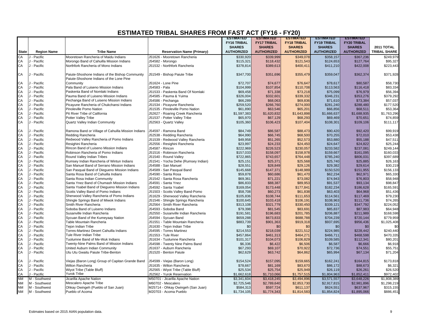|              |                            |                                                    |                                                     | <b>ESTIMATED</b>   | <b>ESTIMATED</b>   | <b>ESTIMATED</b>   | <b>ESTIMATED</b>   | <b>ESTIMATED</b>   |                     |
|--------------|----------------------------|----------------------------------------------------|-----------------------------------------------------|--------------------|--------------------|--------------------|--------------------|--------------------|---------------------|
|              |                            |                                                    |                                                     | <b>FY16 TRIBAL</b> | <b>FY17 TRIBAL</b> | <b>FY18 TRIBAL</b> | <b>FY19 TRIBAL</b> | <b>FY20 TRIBAL</b> |                     |
|              |                            |                                                    |                                                     | <b>SHARES</b>      | <b>SHARES</b>      | <b>SHARES</b>      | <b>SHARES</b>      | <b>SHARES</b>      | <b>2011 TOTAL</b>   |
| <b>State</b> | <b>Region Name</b>         | <b>Tribe Name</b>                                  | <b>Reservation Name (Primary)</b>                   | <b>AUTHORIZED</b>  | <b>AUTHORIZED</b>  | <b>AUTHORIZED</b>  | <b>AUTHORIZED</b>  | <b>AUTHORIZED</b>  | <b>TRIBAL SHARE</b> |
| CA           | J - Pacific                | Mooretown Rancheria of Maidu Indians               | J51626 - Mooretown Rancheria                        | \$330,920          | \$339,999          | \$349,078          | \$358,157          | \$367,236          | \$249,979           |
| CA           | J - Pacific                | Morongo Band of Cahuilla Mission Indians           | J54582 - Morongo                                    | \$115,321          | \$118,432          | \$121,543          | \$124,653          | \$127,764          | \$95,327            |
| CA           | J - Pacific                | Northfork Rancheria of Mono Indians                | J51532 - Northfork Rancheria                        | \$378,814          | \$389,613          | \$400,411          | \$411,210          | \$422,008          | \$223,443           |
|              |                            |                                                    |                                                     |                    |                    |                    |                    |                    |                     |
| CA           | J - Pacific                | Paiute-Shoshone Indians of the Bishop Community    | J51549 - Bishop Paiute Tribe                        | \$347,700          | \$351,696          | \$355,479          | \$359,047          | \$362,374          | \$371,928           |
|              |                            | Paiute-Shoshone Indians of the Lone Pine           |                                                     |                    |                    |                    |                    |                    |                     |
| CA           | J - Pacific                | Community                                          | J51624 - Lone Pine                                  | \$72,707           | \$74,677           | \$76,647           | \$78,617           | \$80,587           | \$58,730            |
| CA           | J - Pacific                | Pala Band of Luiseno Mission Indians               | J54583 - Pala                                       | \$104,999          | \$107,854          | \$110,708          | \$113,563          | \$116,418          | \$83,334            |
| CA           | J - Pacific                | Paskenta Band of Nomlaki Indians                   | J51533 - Paskenta Band Of Nomlaki                   | \$69,458           | \$71,338           | \$73,218           | \$75,099           | \$76,979           | \$56,394            |
| CA           | J - Pacific                | Pauma Band of Luiseno Mission Indians              | J54585 - Pauma & Yuima                              | \$326,004          | \$332,601          | \$339,332          | \$346,231          | \$353,276          | \$379,292           |
| CA           | J - Pacific                | Pechanga Band of Luiseno Mission Indians           | J54586 - Pechanga                                   | \$66,289           | \$68,063           | \$69,836           | \$71,610           | \$73,384           | \$57,037            |
| CA           | J - Pacific                | Picayune Rancheria of Chukchansi Indians           | J51534 - Picayune Rancheria                         | \$259,520          | \$266,760          | \$274,000          | \$281,240          | \$288,480          | \$177,520           |
| CA           | J - Pacific                | Pinoleville Pomo Nation                            | J51535 - Pinoleville Pomo Nation                    | \$61,890           | \$63,546           | \$65,201           | \$66,856           | \$68,511           | \$53,364            |
| CA           | J - Pacific                | Pit River Tribe of California                      | J52627 - Roaring Creek Rancheria                    | \$1,597,383        | \$1,620,832        | \$1,643,898        | \$1,666,637        | \$1,688,935        | \$1,763,296         |
| CA           | J - Pacific                | Potter Valley Tribe                                | J51537 - Potter Valley Tribe                        | \$65,970           | \$67,129           | \$68,293           | \$69,469           | \$70,651           | \$74,859            |
| CA           | J - Pacific                | <b>Quartz Valley Indian Community</b>              | J52563 - Quartz Valley                              | \$105,360          | \$106,423          | \$107,404          | \$108,301          | \$109,106          | \$111,117           |
|              |                            |                                                    |                                                     |                    |                    |                    |                    |                    |                     |
| CA           | J - Pacific                | Ramona Band or Village of Cahuilla Mission Indians | J54597 - Ramona Band                                | \$84,749           | \$86,587           | \$88,473           | \$90,420           | \$92,420           | \$99,919            |
| CA           | J - Pacific                | Redding Rancheria                                  | J52538 - Redding Rancheria                          | \$64,990           | \$66,745           | \$68,500           | \$70,255           | \$72,010           | \$53,438            |
| CA           | J - Pacific                | Redwood Valley Rancheria of Pomo Indians           | J51539 - Redwood Valley Rancheria                   | \$49,958           | \$51,265           | \$52,573           | \$53,880           | \$55,188           | \$47,511            |
| CA           | J - Pacific                | Resighini Rancheria                                | J52556 - Resighini Rancheria                        | \$23,997           | \$24,233           | \$24,450           | \$24,647           | \$24,822           | \$25,244            |
| CA           | J - Pacific                | Rincon Band of Luiseno Mission Indians             | J54587 - Rincon                                     | \$222,969          | \$226,523          | \$230,057          | \$233,582          | \$237,081          | \$249,144           |
| CA           | J - Pacific                | Robinson Rancheria of Pomo Indians                 | J51516 - Robinson Rancheria                         | \$157,033          | \$158,097          | \$158,978          | \$159,667          | \$161,095          | \$160,033           |
| CA           | J - Pacific                | Round Valley Indian Tribes                         | J51540 - Round Valley                               | \$722,865          | \$743,657          | \$764,448          | \$785,240          | \$806,031          | \$397,689           |
| CA           | J - Pacific                | Rumsey Indian Rancheria of Wintun Indians          | J51541 - Yocha Dehe (Rumsey Indian)                 | \$25,151           | \$25,371           | \$25,568           | \$25,740           | \$25,885           | \$26,163            |
| CA           | J - Pacific                | San Manuel Band of Serrano Mission Indians         | J54588 - San Manuel                                 | \$28,551           | \$28,849           | \$29,126           | \$29,382           | \$29,614           | \$30,219            |
| CA           | J - Pacific                | San Pasqual Band of Diequeno Mission Indians       | J54589 - San Pasqual Band                           | \$145,668          | \$147,371          | \$148,989          | \$150,520          | \$151,955          | \$156,133           |
| CA           | J - Pacific                | Santa Rosa Band of Cahuilla Indians                | J54590 - Santa Rosa                                 | \$59,878           | \$60,686           | \$61,470           | \$62,234           | \$62,971           | \$65,330            |
| CA           | J - Pacific                | Santa Rosa Indian Community                        | J51542 - Santa Rosa Rancheria                       | \$69,361           | \$71,221           | \$73,082           | \$74,943           | \$76,803           | \$58,948            |
| CA           | J - Pacific                | Santa Ynez Band of Chumash Mission Indians         | J54591 - Santa Ynez                                 | \$86,833           | \$88,387           | \$89,953           | \$91,537           | \$93,134           | \$98,847            |
| CA           | J - Pacific                | Santa Ysabel Band of Diequeno Mission Indians      | J54592 - Santa Ysabel                               | \$169,054          | \$173,448          | \$177,841          | \$182,234          | \$186,628          | \$165,591           |
| CA           | J - Pacific                | Scotts Valley Band of Pomo Indians                 | J51503 - Scotts Valley Band-Pomo                    | \$58,708           | \$60,273           | \$61,838           | \$63,403           | \$64,968           | \$51,436            |
| CA           | J - Pacific                | Sherwood Valley Rancheria of Pomo Indians          | J51629 - Sherwood Valley Rancheria                  | \$105,836          | \$108,744          | \$111,653          | \$114,561          | \$117,469          | \$79,230            |
| CA           | J - Pacific                | Shingle Springs Band of Miwok Indians              | J51546 - Shingle Springs Rancheria                  | \$100,645          | \$103,418          | \$106,191          | \$108,963          | \$111,736          | \$74,265            |
| CA           | J - Pacific                | Smith River Rancheria                              | J52564 - Smith River Rancheria                      | \$313,108          | \$321,779          | \$330,450          | \$339,121          | \$347,792          | \$224,052           |
| CA           | J - Pacific                | Soboba Band of Luiseno Indians                     | J54593 - Soboba Band                                | \$79,398           | \$81,545           | \$83,691           | \$85,837           | \$87,983           | \$64,948            |
| CA           | J - Pacific                | Susanville Indian Rancheria                        | J52550 - Susanville Indian Rancheria                | \$191,581          | \$196,683          | \$201,785          | \$206,887          | \$211,989          | \$168,598           |
| CA           | J - Pacific                | Sycuan Band of the Kumeyaay Nation                 | J54594 - Sycuan Band                                | \$659,288          | \$673,833          | \$688,788          | \$704,239          | \$720,144          | \$779,959           |
| CA           | J - Pacific                | Table Mountain Rancheria                           | J51551 - Table Mountain Rancheria                   | \$883,739          | \$901,363          | \$919,318          | \$937,695          | \$956,436          | \$1,025,408         |
| CA           | J - Pacific                | <b>Tejon Indian Tribe</b>                          | J51630 - Tejon Indian Tribe                         | \$0                | \$0                | \$0                | \$0                | \$0                | \$0                 |
| CA           | J - Pacific                | Torres-Martinez Desert Cahuilla Indians            | J54595 - Torres Martinez                            | \$214,553          | \$218,039          | \$221,512          | \$224,985          | \$228,442          | \$240,440           |
| CA           | J - Pacific                | Tule River Indian Tribe                            | J51553 - Tule River                                 | \$457,864          | \$461,313          | \$464,271          | \$466,711          | \$468,598          | \$470,335           |
| CA           | J - Pacific                | Tuolumne Band of Me-Wuk Indians                    | J51634 - Tuolumne Rancheria                         | \$101,317          | \$104,073          | \$106,829          | \$109,585          | \$112,341          | \$80,201            |
| CA<br>CA     | J - Pacific<br>J - Pacific | Twenty-Nine Palms Band of Mission Indians          | J54598 - Twenty Nine Palms Band                     | \$6,336            | \$6,422            | \$6,506            | \$6,587            | \$6,666            | \$6,918             |
| CA           | J - Pacific                | United Auburn Indian Community                     | J51637 - Auburn Rancheria<br>J51520 - Benton Paiute | \$67,293           | \$69,107           | \$70,922           | \$72,736           | \$74,551           | \$55,751            |
|              |                            | Utu Utu Gwaitu Paiute Tribe-Benton                 |                                                     | \$62,629           | \$63,742           | \$64,862           | \$65,994           | \$67,134           | \$71,204            |
| CA           | J - Pacific                | Viejas (Baron Long) Group of Capitan Grande Band   | J54599 - Viejas (Baron Long)                        | \$154,524          | \$157,095          | \$159,665          | \$162,241          | \$164,815          | \$173,818           |
| CA           | J - Pacific                | Wilton Rancheria                                   | J51635 - Wilton Rancheria                           | \$78,667           | \$81,169           | \$83,670           | \$86,172           | \$88,673           | \$6,321             |
| CA           | J - Pacific                | Wiyot Tribe (Table Bluff)                          | J52565 - Wiyot Tribe (Table Bluff)                  | \$25,534           | \$25,754           | \$25,949           | \$26,119           | \$26,261           | \$26,520            |
| CA           | J - Pacific                | Yurok Tribe                                        | J52562 - Yurok Reservation                          | \$1,662,618        | \$1,710,066        | \$1,757,515        | \$1,804,963        | \$1,852,411        | \$972,402           |
| <b>NM</b>    | M - Southwest              | Jicarilla Apache Nation                            | M50701 - Jicarilla Apache Nation                    | \$3,341,604        | \$3,418,245        | \$3,494,896        | \$3,571,557        | \$3,648,226        | \$1,808,389         |
| <b>NM</b>    | M - Southwest              | Mescalero Apache Tribe                             | M60702 - Mescalero                                  | \$2,725,546        | \$2,789,640        | \$2,853,730        | \$2,917,815        | \$2,981,896        | \$1,298,219         |
| <b>NM</b>    | M - Southwest              | Ohkay Owingeh (Pueblo of San Juan)                 | M25714 - Ohkay Owingeh (San Juan)                   | \$584,313          | \$597,724          | \$611,137          | \$624,551          | \$637,967          | \$315,155           |
| <b>NM</b>    | M - Southwest              | Pueblo of Acoma                                    | M20703 - Acoma Pueblo                               | \$1,734,105        | \$1,774,343        | \$1,814,583        | \$1,854,824        | \$1,895,066        | \$886,451           |
|              |                            |                                                    |                                                     |                    |                    |                    |                    |                    |                     |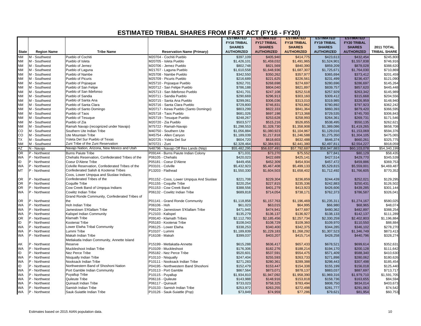|              |                    |                                                  |                                         | <b>ESTIMATED</b>   | <b>ESTIMATED</b>   | <b>ESTIMATED</b>   | <b>ESTIMATED</b>   | <b>ESTIMATED</b>   |                     |
|--------------|--------------------|--------------------------------------------------|-----------------------------------------|--------------------|--------------------|--------------------|--------------------|--------------------|---------------------|
|              |                    |                                                  |                                         | <b>FY16 TRIBAL</b> | <b>FY17 TRIBAL</b> | <b>FY18 TRIBAL</b> | <b>FY19 TRIBAL</b> | <b>FY20 TRIBAL</b> |                     |
|              |                    |                                                  |                                         | <b>SHARES</b>      | <b>SHARES</b>      | <b>SHARES</b>      | <b>SHARES</b>      | <b>SHARES</b>      | 2011 TOTAL          |
| <b>State</b> | <b>Region Name</b> | <b>Tribe Name</b>                                | <b>Reservation Name (Primary)</b>       | <b>AUTHORIZED</b>  | <b>AUTHORIZED</b>  | <b>AUTHORIZED</b>  | <b>AUTHORIZED</b>  | <b>AUTHORIZED</b>  | <b>TRIBAL SHARE</b> |
| <b>NM</b>    | M - Southwest      | Pueblo of Cochiti                                | M20704 - Cochiti Pueblo                 | \$397,109          | \$405,940          | \$414,775          | \$423,613          | \$432,454          | \$245,800           |
| <b>NM</b>    | M - Southwest      | Pueblo of Isleta                                 | M20705 - Isleta Pueblo                  | \$1,426,101        | \$1,459,032        | \$1,491,965        | \$1,524,901        | \$1,557,838        | \$746,916           |
| <b>NM</b>    | M - Southwest      | Pueblo of Jemez                                  | M20706 - Jemez Pueblo                   | \$802,748          | \$821,569          | \$840,390          | \$859,209          | \$878,028          | \$388,620           |
| <b>NM</b>    | M - Southwest      | Pueblo of Laguna                                 | M21707 - Laguna Pueblo                  | \$1,610,558        | \$1,648,936        | \$1,687,307        | \$1,725,671        | \$1,764,030        | \$710,869           |
| <b>NM</b>    | M - Southwest      | Pueblo of Nambe                                  | M25708 - Nambe Pueblo                   | \$342,550          | \$350,262          | \$357,977          | \$365,694          | \$373,412          | \$201,459           |
| <b>NM</b>    | M - Southwest      | Pueblo of Picuris                                | M25709 - Picuris Pueblo                 | \$216,689          | \$221,625          | \$226,561          | \$231,499          | \$236,437          | \$121,090           |
| <b>NM</b>    | M - Southwest      | Pueblo of Pojoaque                               | M25710 - Pojoaque Pueblo                | \$262,701          | \$268,698          | \$274,697          | \$280,696          | \$286,697          | \$145,264           |
| <b>NM</b>    | M - Southwest      | Pueblo of San Felipe                             | M20712 - San Felipe Pueblo              | \$786,188          | \$804,040          | \$821,897          | \$839,757          | \$857,620          | \$445,448           |
| <b>NM</b>    | M - Southwest      | Pueblo of San Ildefonso                          | M25713 - San Ildefonso Pueblo           | \$241,701          | \$247,108          | \$252,518          | \$257,929          | \$263,342          | \$145,989           |
| <b>NM</b>    | M - Southwest      | Pueblo of Sandia                                 | M20711 - Sandia Pueblo                  | \$290,669          | \$296,913          | \$303,160          | \$309,412          | \$315,668          | \$204,556           |
| <b>NM</b>    | M - Southwest      | Pueblo of Santa Ana                              | M20715 - Santa Ana Pueblo               | \$299,061          | \$306,036          | \$313,010          | \$319,985          | \$326,959          | \$148,940           |
| <b>NM</b>    | M - Southwest      | Pueblo of Santa Clara                            | M25716 - Santa Clara Pueblo             | \$729,800          | \$746,831          | \$763,862          | \$780,892          | \$797,923          | \$362,242           |
| <b>NM</b>    | M - Southwest      | Pueblo of Santo Domingo                          | M20717 - Kewa Pueblo (Santo Domingo)    | \$803,299          | \$822,333          | \$841,364          | \$860,393          | \$879,420          | \$366,595           |
| <b>NM</b>    | M - Southwest      | Pueblo of Taos                                   | M25718 - Taos Pueblo                    | \$681,026          | \$697,198          | \$713,368          | \$729,535          | \$745,700          | \$306,843           |
| <b>NM</b>    | M - Southwest      | Pueblo of Tesuque                                | M25719 - Tesuque Pueblo                 | \$248,267          | \$253,628          | \$258,993          | \$264,361          | \$269,731          | \$171,546           |
| <b>NM</b>    | M - Southwest      | Pueblo of Zia                                    | M20720 - Zia Pueblo                     | \$503,577          | \$515,216          | \$526,855          | \$538,495          | \$550,135          | \$262,621           |
| <b>NM</b>    | M - Southwest      | Ramah Navajo (recognized under Navajo)           | M75722 - Ramah-Navajo                   | \$1,298,553        | \$1,328,730        | \$1,358,908        | \$1,389,086        | \$1,419,265        | \$658,708           |
| CO           | M - Southwest      | Southern Ute Indian Tribe                        | M40750 - Southern Ute                   | \$1,056,884        | \$1,080,923        | \$1,104,967        | \$1,129,016        | \$1,153,069        | \$594,376           |
| CO           | M - Southwest      | Ute Mountain Tribe                               | M45754 - Allen Canyon                   | \$1,189,039        | \$1,217,818        | \$1,246,588        | \$1,275,350        | \$1,304,105        | \$475,065           |
| <b>TX</b>    | M - Southwest      | Ysleta Del Sur Pueblo of Texas                   | M20725 - Ysleta Del Sur                 | \$604,720          | \$618,603          | \$632,488          | \$646,374          | \$660,261          | \$325,775           |
| <b>NM</b>    | M - Southwest      | Zuni Tribe of the Zuni Reservation               | M70721 - Zuni                           | \$2,328,464        | \$2,384,931        | \$2,441,380        | \$2,497,811        | \$2,554,227        | \$918,059           |
| ΑZ           | N - Navajo         | Navajo Nation, Arizona, New Mexico and Utah      | N48796 - Navajo Off Res Lands (Niip)    | \$55,482,295       | \$56,637,491       | \$57,792,687       | \$58,947,883       | \$60,103,078       | \$54,340,199        |
| OR           | P - Northwest      | <b>Burns Paiute Tribe</b>                        | P09144 - Burns Paiute Indian Colony     | \$71,031           | \$73,270           | \$75,552           | \$77,841           | \$80,129           | \$58,435            |
| WA           | P - Northwest      | Chehalis Reservation, Confederated Tribes of the | P06105 - Chehalis                       | \$420,023          | \$422,689          | \$425,141          | \$427,514          | \$429,770          | \$345,539           |
| ID           | P - Northwest      | Coeur D'Alene Tribe                              | P05181 - Coeur D'Alene                  | \$449,456          | \$452,309          | \$454,934          | \$457,472          | \$459,886          | \$369,753           |
| <b>WA</b>    | P - Northwest      | Colville Reservation, Confederated Tribes of the | P03101 - Colville                       | \$5,432,923        | \$5,467,408        | \$5,499,133        | \$5,529,815        | \$5,559,001        | \$4,469,487         |
| <b>MT</b>    | P - Northwest      | Confederated Salish & Kootenai Tribes            | P13203 - Flathead                       | \$1,550,330        | \$1,604,503        | \$1,658,402        | \$1,712,492        | \$1,766,605        | \$770,352           |
|              |                    | Coos, Lower Umpqua and Siuslaw Indians,          |                                         |                    |                    |                    |                    |                    |                     |
| <b>OR</b>    | P - Northwest      | Confederated Tribes of the                       | P01152 - Coos, Lower Umpqua And Siuslaw | \$221,708          | \$229,304          | \$236,859          | \$244,439          | \$252,021          | \$129,295           |
| <b>OR</b>    | P - Northwest      | <b>Coquille Tribe</b>                            | P01155 - Coquille Tribe                 | \$220,254          | \$227,815          | \$235,336          | \$242,883          | \$250,431          | \$126,502           |
| <b>OR</b>    | P - Northwest      | Cow Creek Band of Umpqua Indians                 | P01153 - Cow Creek Band                 | \$388,556          | \$401,279          | \$413,923          | \$426,606          | \$439,285          | \$301,144           |
| <b>WA</b>    | P - Northwest      | Cowlitz Indian Tribe                             | P06132 - Cowlitz Indian Tribe           | \$689,818          | \$714,054          | \$738,171          | \$762,373          | \$786,587          | \$326,041           |
|              |                    | Grand Ronde Community, Confederated Tribes of    |                                         |                    |                    |                    |                    |                    |                     |
| <b>OR</b>    | P - Northwest      | the                                              | P01141 - Grand Ronde Community          | \$1,118,858        | \$1,157,763        | \$1,196,469        | \$1,235,311        | \$1,274,167        | \$580,025           |
| WA           | P - Northwest      | Hoh Indian Tribe                                 | P06106 - Hoh                            | \$61,023           | \$63,015           | \$64,995           | \$66,980           | \$68,965           | \$48,074            |
| <b>WA</b>    | P - Northwest      | Jamestown S'Klallam Tribe                        | P06129 - Jamestown S'Klallam Tribe      | \$471,945          | \$474,941          | \$477,697          | \$480,362          | \$482,897          | \$388,254           |
| WA           | P - Northwest      | Kalispel Indian Community                        | P12103 - Kalispel                       | \$135,279          | \$136,137          | \$136,927          | \$138,133          | \$142,137          | \$111,289           |
| <b>OR</b>    | P - Northwest      | Klamath Tribe                                    | P09140 - Klamath Tribes                 | \$2,112,793        | \$2,185,456        | \$2,257,734        | \$2,330,259        | \$2,402,803        | \$1,196,884         |
| ID           | P - Northwest      | Kootenai Tribe                                   | P05183 - Kootenai Tribe                 | \$108,043          | \$108,729          | \$109,360          | \$109,970          | \$110,550          | \$88,884            |
| <b>WA</b>    | P - Northwest      | Lower Elwha Tribal Community                     | P06125 - Lower Elwha                    | \$338,253          | \$340,400          | \$342,375          | \$344,285          | \$346,102          | \$278,270           |
| WA           | P - Northwest      | Lummi Tribe                                      | P10107 - Lummi                          | \$1,189,839        | \$1,229,183        | \$1,268,292        | \$1,307,523        | \$1,346,749        | \$873,413           |
| WA           | P - Northwest      | Makah Indian Tribe                               | P16108 - Makah                          | \$399,037          | \$403,207          | \$415,714          | \$428,258          | \$440,796          | \$328,274           |
|              |                    | Metlakatla Indian Community, Annette Island      |                                         |                    |                    |                    |                    |                    |                     |
| AK           | P - Northwest      | Reserve                                          | P15199 - Metlakatla-Annette             | \$615,288          | \$636,417          | \$657,433          | \$678,521          | \$699,614          | \$352,631           |
| WA           | P - Northwest      | Muckleshoot Indian Tribe                         | P10109 - Muckleshoot                    | \$176,306          | \$182,276          | \$188,214          | \$194,170          | \$200,128          | \$111,642           |
| ID           | P - Northwest      | Nez Perce Tribe                                  | P05182 - Nez Perce Tribe                | \$520,601          | \$537,591          | \$554,475          | \$571,409          | \$588,340          | \$410,630           |
| WA           | P - Northwest      | Nisqually Indian Tribe                           | P10110 - Nisqually                      | \$247,404          | \$255,593          | \$263,733          | \$271,898          | \$280,062          | \$180,626           |
| <b>WA</b>    | P - Northwest      | Nooksack Indian Tribe                            | P10111 - Nooksack Indian Tribe          | \$271,283          | \$280,361          | \$289,388          | \$298,443          | \$307,498          | \$185,454           |
| ID           | P - Northwest      | Northwestern Band of Shoshoni Nation             | P04195 - Northwestern Band Shoshoni     | \$152,479          | \$153,447          | \$154,338          | \$155,199          | \$156,018          | \$125,440           |
| <b>WA</b>    | P - Northwest      | Port Gamble Indian Community                     | P10113 - Port Gamble                    | \$867,564          | \$873,071          | \$878,137          | \$883,037          | \$887,697          | \$713,717           |
| WA           | P - Northwest      | Puyallup Tribe                                   | P10115 - Puyallup                       | \$1,934,810        | \$1,947,092        | \$1,958,390        | \$1,969,316        | \$1,979,710        | \$1,591,705         |
| WA           | P - Northwest      | Quileute Tribe                                   | P06116 - Quileute                       | \$143,988          | \$148,916          | \$153,818          | \$158,736          | \$163,655          | \$84,594            |
| WA           | P - Northwest      | Quinault Indian Tribe                            | P06117 - Quinault                       | \$733,023          | \$758,325          | \$783,494          | \$808,750          | \$834,014          | \$403,673           |
| <b>WA</b>    | P - Northwest      | Samish Indian Tribe                              | P10133 - Samish Indian Tribe            | \$253.972          | \$263,255          | \$272,498          | \$281,777          | \$291,063          | \$74,542            |
| WA           | P - Northwest      | Sauk-Suiattle Indian Tribe                       | P10126 - Sauk-Suiattle (Pop)            | \$73,849           | \$74,959           | \$77,286           | \$79,621           | \$81,954           | \$60,753            |
|              |                    |                                                  |                                         |                    |                    |                    |                    |                    |                     |